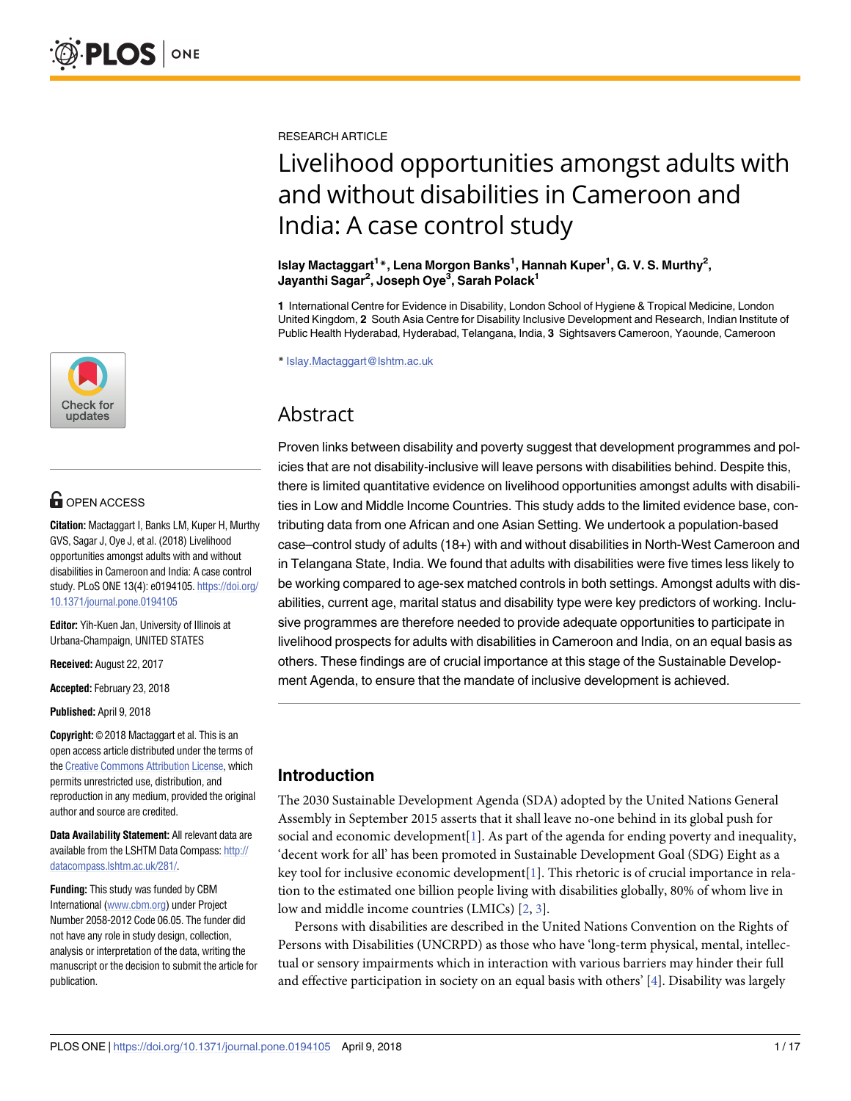

# **G** OPEN ACCESS

**Citation:** Mactaggart I, Banks LM, Kuper H, Murthy GVS, Sagar J, Oye J, et al. (2018) Livelihood opportunities amongst adults with and without disabilities in Cameroon and India: A case control study. PLoS ONE 13(4): e0194105. [https://doi.org/](https://doi.org/10.1371/journal.pone.0194105) [10.1371/journal.pone.0194105](https://doi.org/10.1371/journal.pone.0194105)

**Editor:** Yih-Kuen Jan, University of Illinois at Urbana-Champaign, UNITED STATES

**Received:** August 22, 2017

**Accepted:** February 23, 2018

**Published:** April 9, 2018

**Copyright:** © 2018 Mactaggart et al. This is an open access article distributed under the terms of the Creative [Commons](http://creativecommons.org/licenses/by/4.0/) Attribution License, which permits unrestricted use, distribution, and reproduction in any medium, provided the original author and source are credited.

**Data Availability Statement:** All relevant data are available from the LSHTM Data Compass: [http://](http://datacompass.lshtm.ac.uk/281/) [datacompass.lshtm.ac.uk/281/](http://datacompass.lshtm.ac.uk/281/).

**Funding:** This study was funded by CBM International [\(www.cbm.org](http://www.cbm.org)) under Project Number 2058-2012 Code 06.05. The funder did not have any role in study design, collection, analysis or interpretation of the data, writing the manuscript or the decision to submit the article for publication.

<span id="page-0-0"></span>RESEARCH ARTICLE

# Livelihood opportunities amongst adults with and without disabilities in Cameroon and India: A case control study

**Islay Mactaggart1 \*, Lena Morgon Banks1 , Hannah Kuper1 , G. V. S. Murthy2 , Jayanthi Sagar2 , Joseph Oye3 , Sarah Polack1**

**1** International Centre for Evidence in Disability, London School of Hygiene & Tropical Medicine, London United Kingdom, **2** South Asia Centre for Disability Inclusive Development and Research, Indian Institute of Public Health Hyderabad, Hyderabad, Telangana, India, **3** Sightsavers Cameroon, Yaounde, Cameroon

\* Islay.Mactaggart@lshtm.ac.uk

# Abstract

Proven links between disability and poverty suggest that development programmes and policies that are not disability-inclusive will leave persons with disabilities behind. Despite this, there is limited quantitative evidence on livelihood opportunities amongst adults with disabilities in Low and Middle Income Countries. This study adds to the limited evidence base, contributing data from one African and one Asian Setting. We undertook a population-based case–control study of adults (18+) with and without disabilities in North-West Cameroon and in Telangana State, India. We found that adults with disabilities were five times less likely to be working compared to age-sex matched controls in both settings. Amongst adults with disabilities, current age, marital status and disability type were key predictors of working. Inclusive programmes are therefore needed to provide adequate opportunities to participate in livelihood prospects for adults with disabilities in Cameroon and India, on an equal basis as others. These findings are of crucial importance at this stage of the Sustainable Development Agenda, to ensure that the mandate of inclusive development is achieved.

# **Introduction**

The 2030 Sustainable Development Agenda (SDA) adopted by the United Nations General Assembly in September 2015 asserts that it shall leave no-one behind in its global push for social and economic development $[1]$  $[1]$  $[1]$ . As part of the agenda for ending poverty and inequality, 'decent work for all' has been promoted in Sustainable Development Goal (SDG) Eight as a key tool for inclusive economic development $[1]$  $[1]$  $[1]$ . This rhetoric is of crucial importance in relation to the estimated one billion people living with disabilities globally, 80% of whom live in low and middle income countries (LMICs) [\[2,](#page-14-0) [3](#page-14-0)].

Persons with disabilities are described in the United Nations Convention on the Rights of Persons with Disabilities (UNCRPD) as those who have 'long-term physical, mental, intellectual or sensory impairments which in interaction with various barriers may hinder their full and effective participation in society on an equal basis with others' [[4](#page-14-0)]. Disability was largely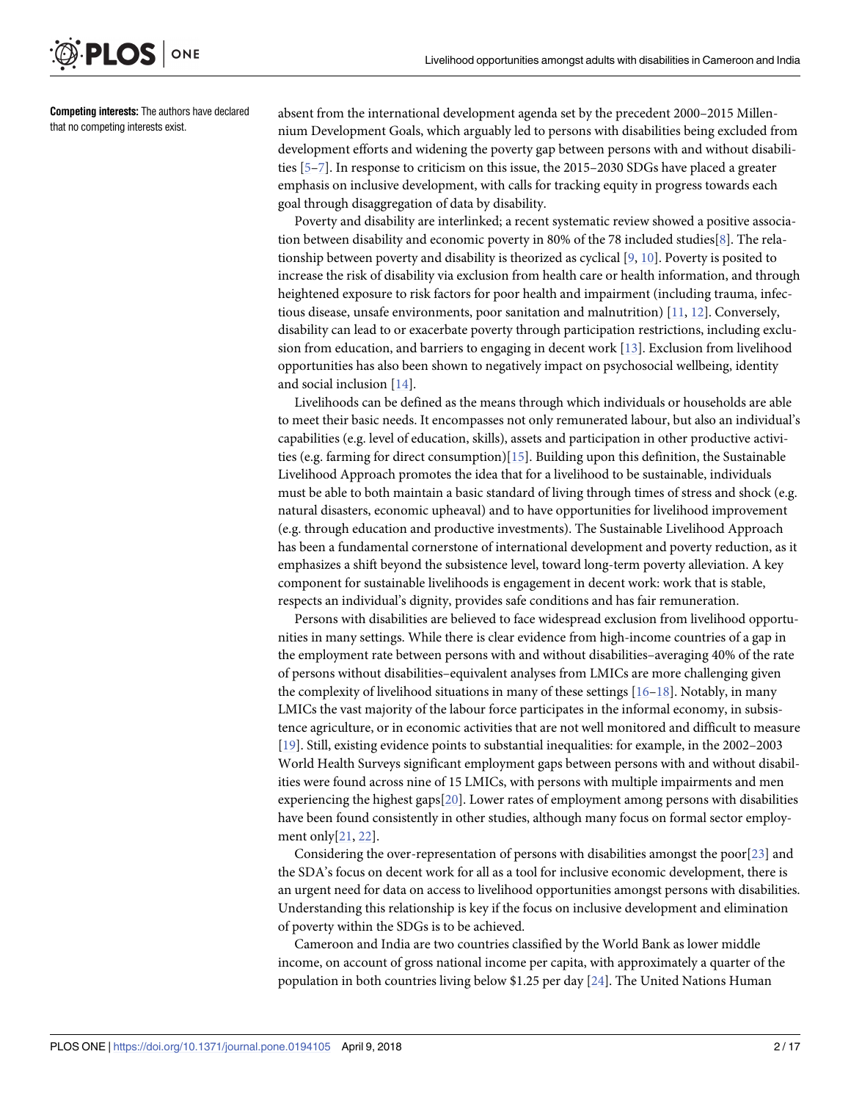<span id="page-1-0"></span>

**Competing interests:** The authors have declared that no competing interests exist.

absent from the international development agenda set by the precedent 2000–2015 Millennium Development Goals, which arguably led to persons with disabilities being excluded from development efforts and widening the poverty gap between persons with and without disabilities [\[5–7\]](#page-14-0). In response to criticism on this issue, the 2015–2030 SDGs have placed a greater emphasis on inclusive development, with calls for tracking equity in progress towards each goal through disaggregation of data by disability.

Poverty and disability are interlinked; a recent systematic review showed a positive association between disability and economic poverty in 80% of the 78 included studies[[8](#page-14-0)]. The relationship between poverty and disability is theorized as cyclical [[9,](#page-14-0) [10\]](#page-14-0). Poverty is posited to increase the risk of disability via exclusion from health care or health information, and through heightened exposure to risk factors for poor health and impairment (including trauma, infectious disease, unsafe environments, poor sanitation and malnutrition) [\[11,](#page-14-0) [12\]](#page-14-0). Conversely, disability can lead to or exacerbate poverty through participation restrictions, including exclusion from education, and barriers to engaging in decent work [[13](#page-14-0)]. Exclusion from livelihood opportunities has also been shown to negatively impact on psychosocial wellbeing, identity and social inclusion [\[14\]](#page-14-0).

Livelihoods can be defined as the means through which individuals or households are able to meet their basic needs. It encompasses not only remunerated labour, but also an individual's capabilities (e.g. level of education, skills), assets and participation in other productive activities (e.g. farming for direct consumption)[[15\]](#page-14-0). Building upon this definition, the Sustainable Livelihood Approach promotes the idea that for a livelihood to be sustainable, individuals must be able to both maintain a basic standard of living through times of stress and shock (e.g. natural disasters, economic upheaval) and to have opportunities for livelihood improvement (e.g. through education and productive investments). The Sustainable Livelihood Approach has been a fundamental cornerstone of international development and poverty reduction, as it emphasizes a shift beyond the subsistence level, toward long-term poverty alleviation. A key component for sustainable livelihoods is engagement in decent work: work that is stable, respects an individual's dignity, provides safe conditions and has fair remuneration.

Persons with disabilities are believed to face widespread exclusion from livelihood opportunities in many settings. While there is clear evidence from high-income countries of a gap in the employment rate between persons with and without disabilities–averaging 40% of the rate of persons without disabilities–equivalent analyses from LMICs are more challenging given the complexity of livelihood situations in many of these settings  $[16–18]$  $[16–18]$ . Notably, in many LMICs the vast majority of the labour force participates in the informal economy, in subsistence agriculture, or in economic activities that are not well monitored and difficult to measure [\[19\]](#page-14-0). Still, existing evidence points to substantial inequalities: for example, in the 2002–2003 World Health Surveys significant employment gaps between persons with and without disabilities were found across nine of 15 LMICs, with persons with multiple impairments and men experiencing the highest gaps[\[20\]](#page-14-0). Lower rates of employment among persons with disabilities have been found consistently in other studies, although many focus on formal sector employment only[\[21,](#page-14-0) [22\]](#page-15-0).

Considering the over-representation of persons with disabilities amongst the poor[[23](#page-15-0)] and the SDA's focus on decent work for all as a tool for inclusive economic development, there is an urgent need for data on access to livelihood opportunities amongst persons with disabilities. Understanding this relationship is key if the focus on inclusive development and elimination of poverty within the SDGs is to be achieved.

Cameroon and India are two countries classified by the World Bank as lower middle income, on account of gross national income per capita, with approximately a quarter of the population in both countries living below \$1.25 per day [\[24\]](#page-15-0). The United Nations Human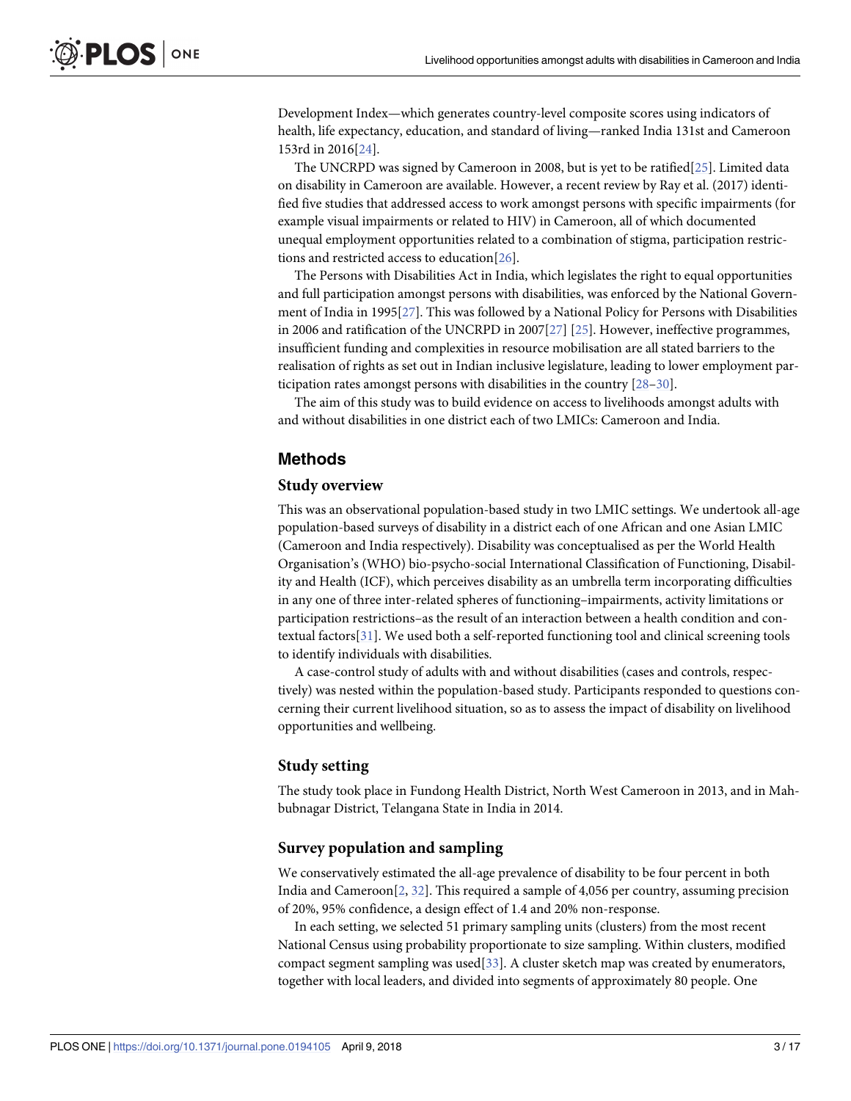<span id="page-2-0"></span>Development Index—which generates country-level composite scores using indicators of health, life expectancy, education, and standard of living—ranked India 131st and Cameroon 153rd in 2016[\[24\]](#page-15-0).

The UNCRPD was signed by Cameroon in 2008, but is yet to be ratified[\[25\]](#page-15-0). Limited data on disability in Cameroon are available. However, a recent review by Ray et al. (2017) identified five studies that addressed access to work amongst persons with specific impairments (for example visual impairments or related to HIV) in Cameroon, all of which documented unequal employment opportunities related to a combination of stigma, participation restrictions and restricted access to education[[26](#page-15-0)].

The Persons with Disabilities Act in India, which legislates the right to equal opportunities and full participation amongst persons with disabilities, was enforced by the National Government of India in 1995[\[27\]](#page-15-0). This was followed by a National Policy for Persons with Disabilities in 2006 and ratification of the UNCRPD in 2007[\[27\]](#page-15-0) [[25](#page-15-0)]. However, ineffective programmes, insufficient funding and complexities in resource mobilisation are all stated barriers to the realisation of rights as set out in Indian inclusive legislature, leading to lower employment participation rates amongst persons with disabilities in the country [[28–30\]](#page-15-0).

The aim of this study was to build evidence on access to livelihoods amongst adults with and without disabilities in one district each of two LMICs: Cameroon and India.

# **Methods**

#### **Study overview**

This was an observational population-based study in two LMIC settings. We undertook all-age population-based surveys of disability in a district each of one African and one Asian LMIC (Cameroon and India respectively). Disability was conceptualised as per the World Health Organisation's (WHO) bio-psycho-social International Classification of Functioning, Disability and Health (ICF), which perceives disability as an umbrella term incorporating difficulties in any one of three inter-related spheres of functioning–impairments, activity limitations or participation restrictions–as the result of an interaction between a health condition and contextual factors[\[31\]](#page-15-0). We used both a self-reported functioning tool and clinical screening tools to identify individuals with disabilities.

A case-control study of adults with and without disabilities (cases and controls, respectively) was nested within the population-based study. Participants responded to questions concerning their current livelihood situation, so as to assess the impact of disability on livelihood opportunities and wellbeing.

#### **Study setting**

The study took place in Fundong Health District, North West Cameroon in 2013, and in Mahbubnagar District, Telangana State in India in 2014.

#### **Survey population and sampling**

We conservatively estimated the all-age prevalence of disability to be four percent in both India and Cameroon[[2,](#page-14-0) [32\]](#page-15-0). This required a sample of 4,056 per country, assuming precision of 20%, 95% confidence, a design effect of 1.4 and 20% non-response.

In each setting, we selected 51 primary sampling units (clusters) from the most recent National Census using probability proportionate to size sampling. Within clusters, modified compact segment sampling was used[[33](#page-15-0)]. A cluster sketch map was created by enumerators, together with local leaders, and divided into segments of approximately 80 people. One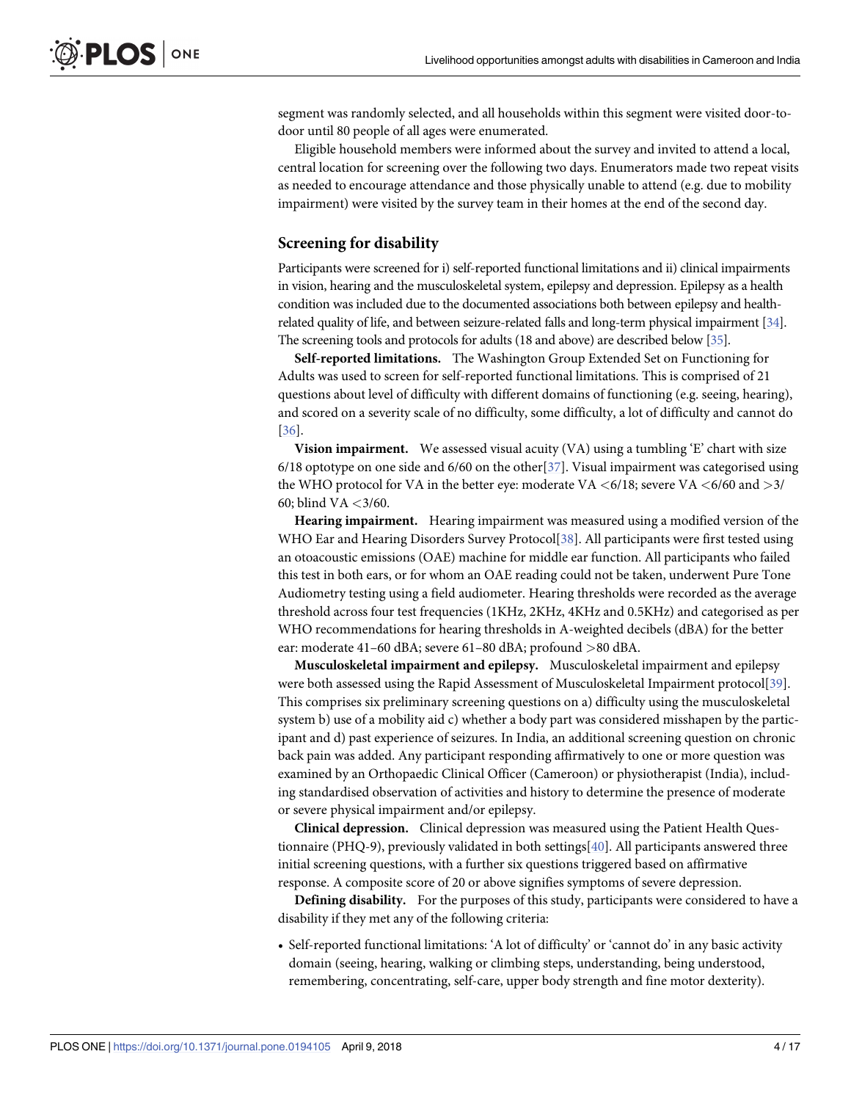<span id="page-3-0"></span>segment was randomly selected, and all households within this segment were visited door-todoor until 80 people of all ages were enumerated.

Eligible household members were informed about the survey and invited to attend a local, central location for screening over the following two days. Enumerators made two repeat visits as needed to encourage attendance and those physically unable to attend (e.g. due to mobility impairment) were visited by the survey team in their homes at the end of the second day.

#### **Screening for disability**

Participants were screened for i) self-reported functional limitations and ii) clinical impairments in vision, hearing and the musculoskeletal system, epilepsy and depression. Epilepsy as a health condition was included due to the documented associations both between epilepsy and healthrelated quality of life, and between seizure-related falls and long-term physical impairment [[34\]](#page-15-0). The screening tools and protocols for adults (18 and above) are described below [\[35](#page-15-0)].

**Self-reported limitations.** The Washington Group Extended Set on Functioning for Adults was used to screen for self-reported functional limitations. This is comprised of 21 questions about level of difficulty with different domains of functioning (e.g. seeing, hearing), and scored on a severity scale of no difficulty, some difficulty, a lot of difficulty and cannot do [\[36\]](#page-15-0).

**Vision impairment.** We assessed visual acuity (VA) using a tumbling 'E' chart with size 6/18 optotype on one side and 6/60 on the other[\[37\]](#page-15-0). Visual impairment was categorised using the WHO protocol for VA in the better eye: moderate VA *<*6/18; severe VA *<*6/60 and *>*3/ 60; blind VA *<*3/60.

**Hearing impairment.** Hearing impairment was measured using a modified version of the WHO Ear and Hearing Disorders Survey Protocol[[38\]](#page-15-0). All participants were first tested using an otoacoustic emissions (OAE) machine for middle ear function. All participants who failed this test in both ears, or for whom an OAE reading could not be taken, underwent Pure Tone Audiometry testing using a field audiometer. Hearing thresholds were recorded as the average threshold across four test frequencies (1KHz, 2KHz, 4KHz and 0.5KHz) and categorised as per WHO recommendations for hearing thresholds in A-weighted decibels (dBA) for the better ear: moderate 41–60 dBA; severe 61–80 dBA; profound *>*80 dBA.

**Musculoskeletal impairment and epilepsy.** Musculoskeletal impairment and epilepsy were both assessed using the Rapid Assessment of Musculoskeletal Impairment protocol[[39](#page-15-0)]. This comprises six preliminary screening questions on a) difficulty using the musculoskeletal system b) use of a mobility aid c) whether a body part was considered misshapen by the participant and d) past experience of seizures. In India, an additional screening question on chronic back pain was added. Any participant responding affirmatively to one or more question was examined by an Orthopaedic Clinical Officer (Cameroon) or physiotherapist (India), including standardised observation of activities and history to determine the presence of moderate or severe physical impairment and/or epilepsy.

**Clinical depression.** Clinical depression was measured using the Patient Health Questionnaire (PHQ-9), previously validated in both settings[[40\]](#page-15-0). All participants answered three initial screening questions, with a further six questions triggered based on affirmative response. A composite score of 20 or above signifies symptoms of severe depression.

**Defining disability.** For the purposes of this study, participants were considered to have a disability if they met any of the following criteria:

• Self-reported functional limitations: 'A lot of difficulty' or 'cannot do' in any basic activity domain (seeing, hearing, walking or climbing steps, understanding, being understood, remembering, concentrating, self-care, upper body strength and fine motor dexterity).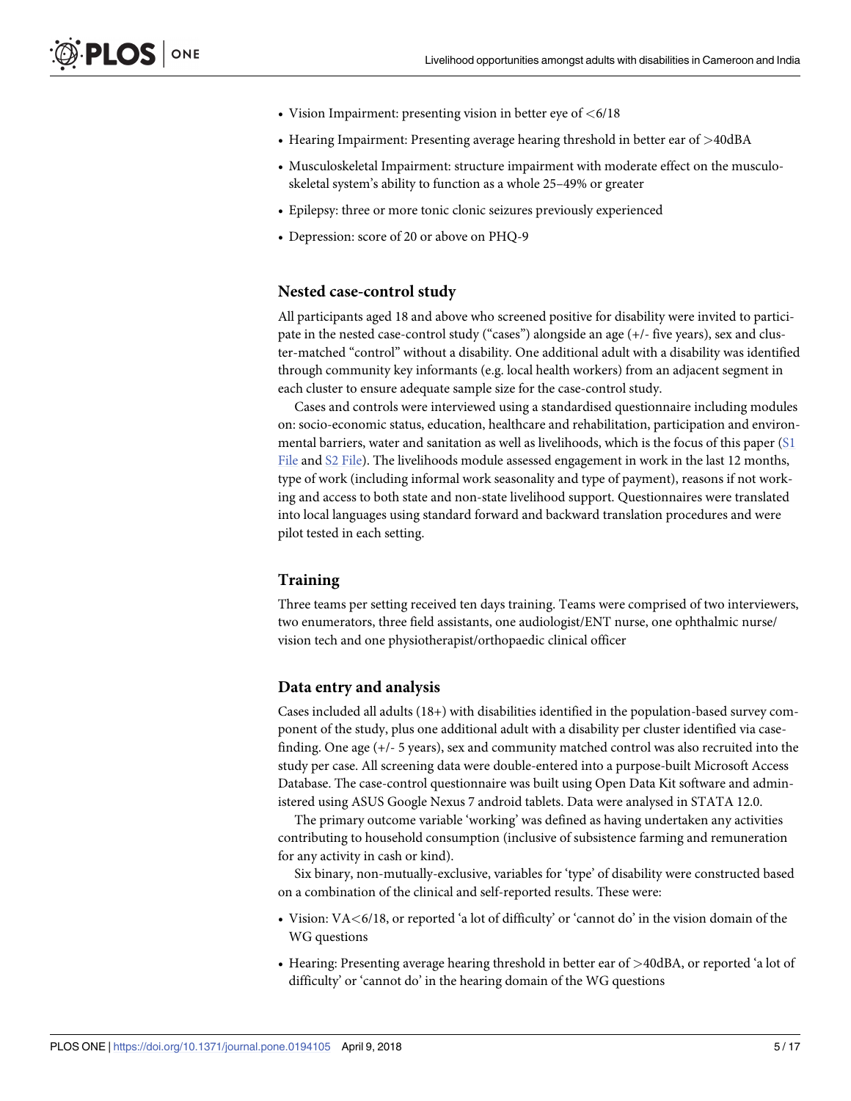- Vision Impairment: presenting vision in better eye of *<*6/18
- Hearing Impairment: Presenting average hearing threshold in better ear of *>*40dBA
- Musculoskeletal Impairment: structure impairment with moderate effect on the musculoskeletal system's ability to function as a whole 25–49% or greater
- Epilepsy: three or more tonic clonic seizures previously experienced
- Depression: score of 20 or above on PHQ-9

#### **Nested case-control study**

All participants aged 18 and above who screened positive for disability were invited to participate in the nested case-control study ("cases") alongside an age (+/- five years), sex and cluster-matched "control" without a disability. One additional adult with a disability was identified through community key informants (e.g. local health workers) from an adjacent segment in each cluster to ensure adequate sample size for the case-control study.

Cases and controls were interviewed using a standardised questionnaire including modules on: socio-economic status, education, healthcare and rehabilitation, participation and environmental barriers, water and sanitation as well as livelihoods, which is the focus of this paper [\(S1](#page-13-0) [File](#page-13-0) and S2 [File\)](#page-13-0). The livelihoods module assessed engagement in work in the last 12 months, type of work (including informal work seasonality and type of payment), reasons if not working and access to both state and non-state livelihood support. Questionnaires were translated into local languages using standard forward and backward translation procedures and were pilot tested in each setting.

# **Training**

Three teams per setting received ten days training. Teams were comprised of two interviewers, two enumerators, three field assistants, one audiologist/ENT nurse, one ophthalmic nurse/ vision tech and one physiotherapist/orthopaedic clinical officer

# **Data entry and analysis**

Cases included all adults (18+) with disabilities identified in the population-based survey component of the study, plus one additional adult with a disability per cluster identified via casefinding. One age (+/- 5 years), sex and community matched control was also recruited into the study per case. All screening data were double-entered into a purpose-built Microsoft Access Database. The case-control questionnaire was built using Open Data Kit software and administered using ASUS Google Nexus 7 android tablets. Data were analysed in STATA 12.0.

The primary outcome variable 'working' was defined as having undertaken any activities contributing to household consumption (inclusive of subsistence farming and remuneration for any activity in cash or kind).

Six binary, non-mutually-exclusive, variables for 'type' of disability were constructed based on a combination of the clinical and self-reported results. These were:

- Vision: VA*<*6/18, or reported 'a lot of difficulty' or 'cannot do' in the vision domain of the WG questions
- Hearing: Presenting average hearing threshold in better ear of *>*40dBA, or reported 'a lot of difficulty' or 'cannot do' in the hearing domain of the WG questions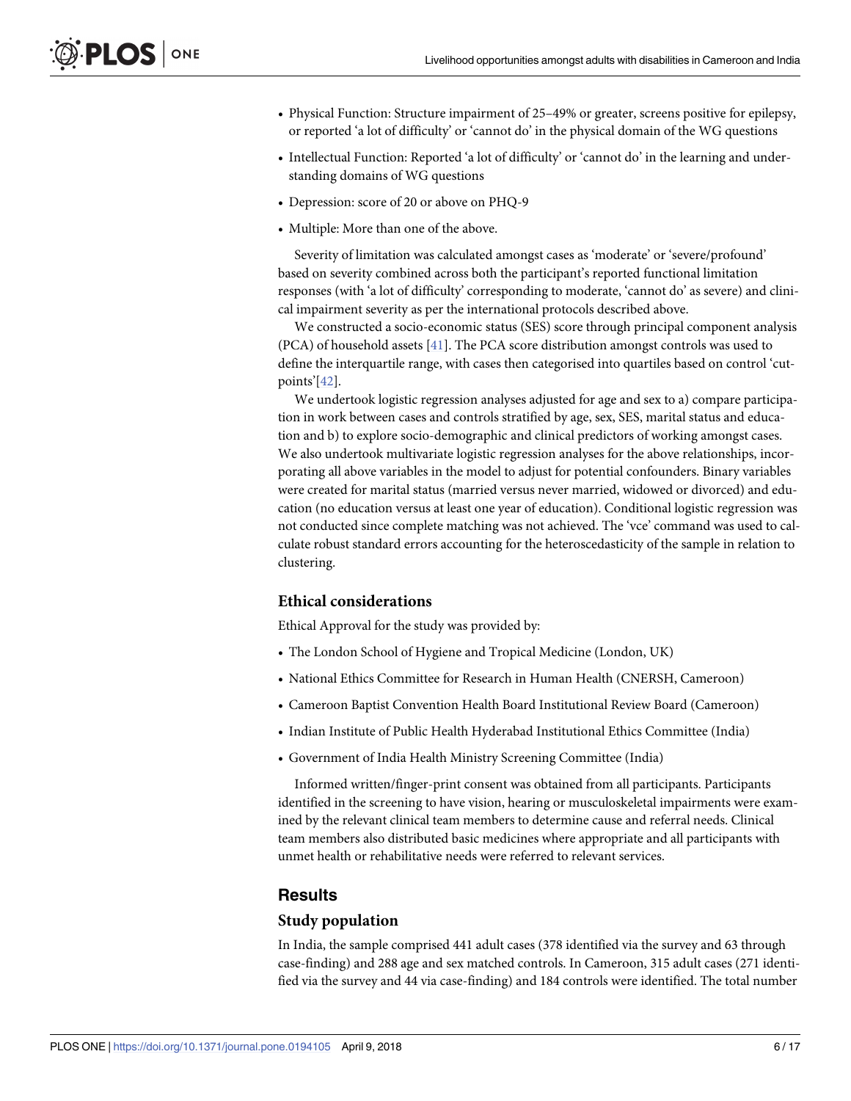- <span id="page-5-0"></span>• Physical Function: Structure impairment of 25–49% or greater, screens positive for epilepsy, or reported 'a lot of difficulty' or 'cannot do' in the physical domain of the WG questions
- Intellectual Function: Reported 'a lot of difficulty' or 'cannot do' in the learning and understanding domains of WG questions
- Depression: score of 20 or above on PHQ-9
- Multiple: More than one of the above.

Severity of limitation was calculated amongst cases as 'moderate' or 'severe/profound' based on severity combined across both the participant's reported functional limitation responses (with 'a lot of difficulty' corresponding to moderate, 'cannot do' as severe) and clinical impairment severity as per the international protocols described above.

We constructed a socio-economic status (SES) score through principal component analysis (PCA) of household assets [[41](#page-15-0)]. The PCA score distribution amongst controls was used to define the interquartile range, with cases then categorised into quartiles based on control 'cutpoints'[[42\]](#page-15-0).

We undertook logistic regression analyses adjusted for age and sex to a) compare participation in work between cases and controls stratified by age, sex, SES, marital status and education and b) to explore socio-demographic and clinical predictors of working amongst cases. We also undertook multivariate logistic regression analyses for the above relationships, incorporating all above variables in the model to adjust for potential confounders. Binary variables were created for marital status (married versus never married, widowed or divorced) and education (no education versus at least one year of education). Conditional logistic regression was not conducted since complete matching was not achieved. The 'vce' command was used to calculate robust standard errors accounting for the heteroscedasticity of the sample in relation to clustering.

# **Ethical considerations**

Ethical Approval for the study was provided by:

- The London School of Hygiene and Tropical Medicine (London, UK)
- National Ethics Committee for Research in Human Health (CNERSH, Cameroon)
- Cameroon Baptist Convention Health Board Institutional Review Board (Cameroon)
- Indian Institute of Public Health Hyderabad Institutional Ethics Committee (India)
- Government of India Health Ministry Screening Committee (India)

Informed written/finger-print consent was obtained from all participants. Participants identified in the screening to have vision, hearing or musculoskeletal impairments were examined by the relevant clinical team members to determine cause and referral needs. Clinical team members also distributed basic medicines where appropriate and all participants with unmet health or rehabilitative needs were referred to relevant services.

#### **Results**

#### **Study population**

In India, the sample comprised 441 adult cases (378 identified via the survey and 63 through case-finding) and 288 age and sex matched controls. In Cameroon, 315 adult cases (271 identified via the survey and 44 via case-finding) and 184 controls were identified. The total number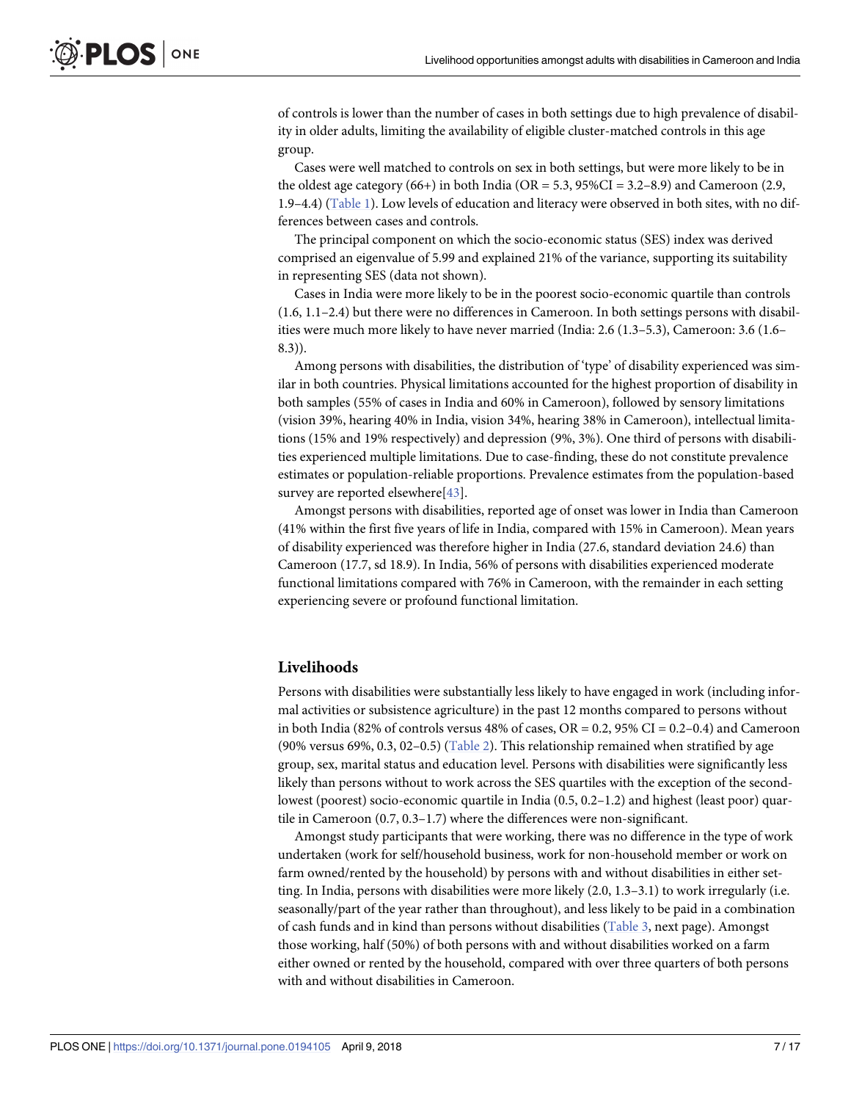<span id="page-6-0"></span>of controls is lower than the number of cases in both settings due to high prevalence of disability in older adults, limiting the availability of eligible cluster-matched controls in this age group.

Cases were well matched to controls on sex in both settings, but were more likely to be in the oldest age category  $(66+)$  in both India  $(OR = 5.3, 95\% CI = 3.2 - 8.9)$  and Cameroon  $(2.9, 1.9)$ 1.9–4.4) ([Table](#page-7-0) 1). Low levels of education and literacy were observed in both sites, with no differences between cases and controls.

The principal component on which the socio-economic status (SES) index was derived comprised an eigenvalue of 5.99 and explained 21% of the variance, supporting its suitability in representing SES (data not shown).

Cases in India were more likely to be in the poorest socio-economic quartile than controls (1.6, 1.1–2.4) but there were no differences in Cameroon. In both settings persons with disabilities were much more likely to have never married (India: 2.6 (1.3–5.3), Cameroon: 3.6 (1.6– 8.3)).

Among persons with disabilities, the distribution of 'type' of disability experienced was similar in both countries. Physical limitations accounted for the highest proportion of disability in both samples (55% of cases in India and 60% in Cameroon), followed by sensory limitations (vision 39%, hearing 40% in India, vision 34%, hearing 38% in Cameroon), intellectual limitations (15% and 19% respectively) and depression (9%, 3%). One third of persons with disabilities experienced multiple limitations. Due to case-finding, these do not constitute prevalence estimates or population-reliable proportions. Prevalence estimates from the population-based survey are reported elsewhere<sup>[\[43\]](#page-15-0)</sup>.

Amongst persons with disabilities, reported age of onset was lower in India than Cameroon (41% within the first five years of life in India, compared with 15% in Cameroon). Mean years of disability experienced was therefore higher in India (27.6, standard deviation 24.6) than Cameroon (17.7, sd 18.9). In India, 56% of persons with disabilities experienced moderate functional limitations compared with 76% in Cameroon, with the remainder in each setting experiencing severe or profound functional limitation.

#### **Livelihoods**

Persons with disabilities were substantially less likely to have engaged in work (including informal activities or subsistence agriculture) in the past 12 months compared to persons without in both India (82% of controls versus 48% of cases,  $OR = 0.2$ , 95%  $CI = 0.2 - 0.4$ ) and Cameroon (90% versus 69%, 0.3, 02–0.5) [\(Table](#page-8-0) 2). This relationship remained when stratified by age group, sex, marital status and education level. Persons with disabilities were significantly less likely than persons without to work across the SES quartiles with the exception of the secondlowest (poorest) socio-economic quartile in India (0.5, 0.2–1.2) and highest (least poor) quartile in Cameroon (0.7, 0.3–1.7) where the differences were non-significant.

Amongst study participants that were working, there was no difference in the type of work undertaken (work for self/household business, work for non-household member or work on farm owned/rented by the household) by persons with and without disabilities in either setting. In India, persons with disabilities were more likely (2.0, 1.3–3.1) to work irregularly (i.e. seasonally/part of the year rather than throughout), and less likely to be paid in a combination of cash funds and in kind than persons without disabilities [\(Table](#page-8-0) 3, next page). Amongst those working, half (50%) of both persons with and without disabilities worked on a farm either owned or rented by the household, compared with over three quarters of both persons with and without disabilities in Cameroon.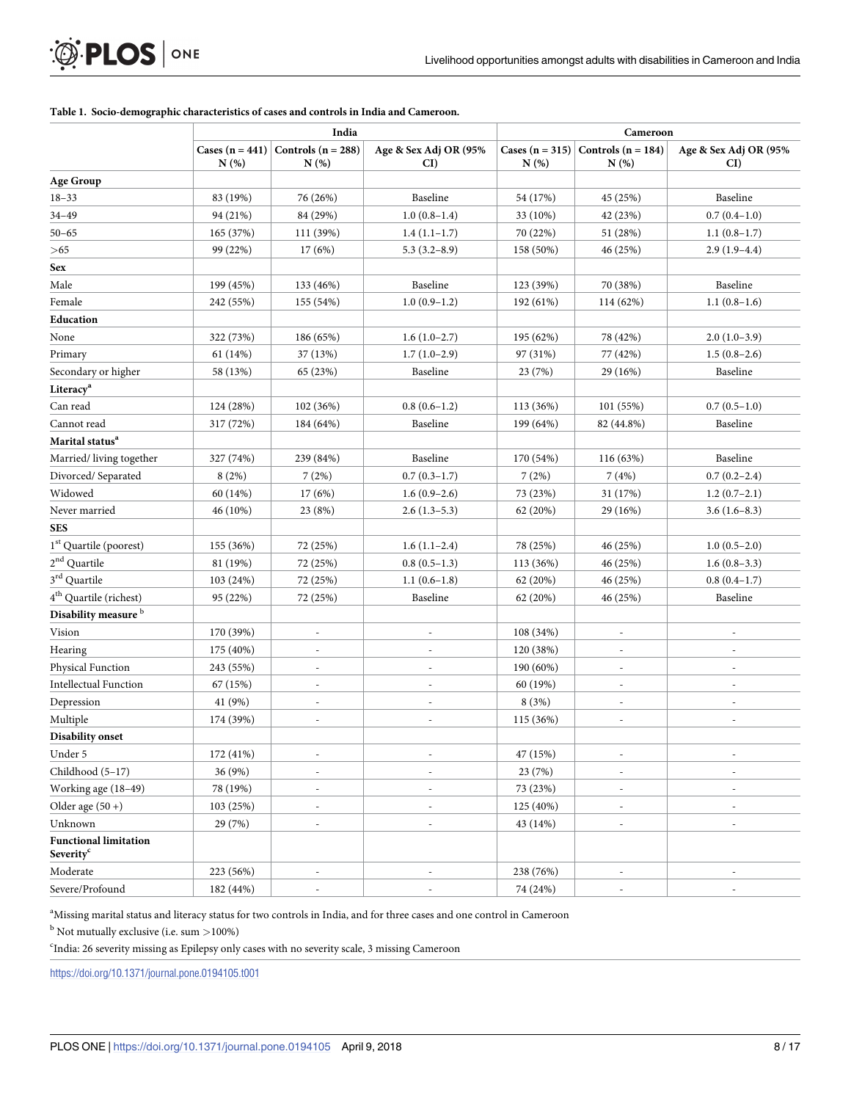# <span id="page-7-0"></span>**O. PLOS** ONE

|                                                       |                           | India                        |                              | Cameroon                  |                              |                             |  |
|-------------------------------------------------------|---------------------------|------------------------------|------------------------------|---------------------------|------------------------------|-----------------------------|--|
|                                                       | Cases $(n = 441)$<br>N(%) | Controls $(n = 288)$<br>N(%) | Age & Sex Adj OR (95%<br>CI) | Cases $(n = 315)$<br>N(%) | Controls $(n = 184)$<br>N(%) | Age & Sex Adj OR (95%<br>CI |  |
| <b>Age Group</b>                                      |                           |                              |                              |                           |                              |                             |  |
| $18 - 33$                                             | 83 (19%)                  | 76 (26%)                     | Baseline                     | 54 (17%)                  | 45 (25%)                     | Baseline                    |  |
| $34 - 49$                                             | 94 (21%)                  | 84 (29%)                     | $1.0(0.8-1.4)$               | 33 (10%)                  | 42 (23%)                     | $0.7(0.4 - 1.0)$            |  |
| $50 - 65$                                             | 165 (37%)                 | 111 (39%)                    | $1.4(1.1-1.7)$               | 70 (22%)                  | 51 (28%)                     | $1.1(0.8-1.7)$              |  |
| > 65                                                  | 99 (22%)                  | 17(6%)                       | $5.3(3.2-8.9)$               | 158 (50%)                 | 46 (25%)                     | $2.9(1.9-4.4)$              |  |
| Sex                                                   |                           |                              |                              |                           |                              |                             |  |
| Male                                                  | 199 (45%)                 | 133 (46%)                    | Baseline                     | 123 (39%)                 | 70 (38%)                     | Baseline                    |  |
| Female                                                | 242 (55%)                 | 155 (54%)                    | $1.0(0.9-1.2)$               | 192 (61%)                 | 114 (62%)                    | $1.1(0.8-1.6)$              |  |
| Education                                             |                           |                              |                              |                           |                              |                             |  |
| None                                                  | 322 (73%)                 | 186 (65%)                    | $1.6(1.0-2.7)$               | 195 (62%)                 | 78 (42%)                     | $2.0(1.0-3.9)$              |  |
| Primary                                               | 61 (14%)                  | 37 (13%)                     | $1.7(1.0-2.9)$               | 97 (31%)                  | 77 (42%)                     | $1.5(0.8-2.6)$              |  |
| Secondary or higher                                   | 58 (13%)                  | 65 (23%)                     | Baseline                     | 23 (7%)                   | 29 (16%)                     | Baseline                    |  |
| Literacy <sup>a</sup>                                 |                           |                              |                              |                           |                              |                             |  |
| Can read                                              | 124 (28%)                 | 102 (36%)                    | $0.8(0.6-1.2)$               | 113 (36%)                 | 101 (55%)                    | $0.7(0.5-1.0)$              |  |
| Cannot read                                           | 317 (72%)                 | 184 (64%)                    | Baseline                     | 199 (64%)                 | 82 (44.8%)                   | Baseline                    |  |
| Marital status <sup>a</sup>                           |                           |                              |                              |                           |                              |                             |  |
| Married/living together                               | 327 (74%)                 | 239 (84%)                    | Baseline                     | 170 (54%)                 | 116 (63%)                    | Baseline                    |  |
| Divorced/Separated                                    | 8(2%)                     | 7(2%)                        | $0.7(0.3-1.7)$               | 7(2%)                     | 7(4%)                        | $0.7(0.2 - 2.4)$            |  |
| Widowed                                               | 60 (14%)                  | 17(6%)                       | $1.6(0.9-2.6)$               | 73 (23%)                  | 31 (17%)                     | $1.2(0.7-2.1)$              |  |
| Never married                                         | 46 (10%)                  | 23 (8%)                      | $2.6(1.3-5.3)$               | 62 (20%)                  | 29 (16%)                     | $3.6(1.6-8.3)$              |  |
| <b>SES</b>                                            |                           |                              |                              |                           |                              |                             |  |
| 1 <sup>st</sup> Quartile (poorest)                    | 155 (36%)                 | 72 (25%)                     | $1.6(1.1-2.4)$               | 78 (25%)                  | 46 (25%)                     | $1.0(0.5-2.0)$              |  |
| $2^{\rm nd}$ Quartile                                 | 81 (19%)                  | 72 (25%)                     | $0.8(0.5-1.3)$               | 113 (36%)                 | 46 (25%)                     | $1.6(0.8-3.3)$              |  |
| $3^{\rm rd}$ Quartile                                 | 103 (24%)                 | 72 (25%)                     | $1.1(0.6-1.8)$               | 62 (20%)                  | 46 (25%)                     | $0.8(0.4-1.7)$              |  |
| 4 <sup>th</sup> Quartile (richest)                    | 95 (22%)                  | 72 (25%)                     | Baseline                     | 62 (20%)                  | 46 (25%)                     | Baseline                    |  |
| Disability measure b                                  |                           |                              |                              |                           |                              |                             |  |
| Vision                                                | 170 (39%)                 | $\overline{\phantom{a}}$     |                              | 108 (34%)                 | $\overline{\phantom{a}}$     |                             |  |
| Hearing                                               | 175 (40%)                 | $\overline{a}$               |                              | 120 (38%)                 |                              |                             |  |
| Physical Function                                     | 243 (55%)                 | $\overline{\phantom{a}}$     |                              | 190 (60%)                 | $\overline{\phantom{a}}$     |                             |  |
| <b>Intellectual Function</b>                          | 67 (15%)                  | $\overline{\phantom{a}}$     | $\overline{\phantom{a}}$     | 60 (19%)                  | $\overline{\phantom{a}}$     |                             |  |
| Depression                                            | 41 (9%)                   | $\overline{\phantom{a}}$     | $\overline{\phantom{a}}$     | 8(3%)                     | $\overline{\phantom{a}}$     | $\overline{\phantom{a}}$    |  |
| Multiple                                              | 174 (39%)                 | $\overline{\phantom{a}}$     | $\overline{\phantom{a}}$     | 115 (36%)                 | $\overline{\phantom{a}}$     | $\overline{a}$              |  |
| <b>Disability onset</b>                               |                           |                              |                              |                           |                              |                             |  |
| Under 5                                               | 172 (41%)                 | $\overline{a}$               |                              | 47 (15%)                  | $\overline{\phantom{a}}$     |                             |  |
| Childhood (5-17)                                      | 36 (9%)                   |                              |                              | 23 (7%)                   |                              |                             |  |
| Working age (18-49)                                   | 78 (19%)                  | $\overline{\phantom{m}}$     |                              | 73 (23%)                  |                              |                             |  |
| Older age $(50 +)$                                    | 103 (25%)                 | $\overline{\phantom{a}}$     |                              | 125 (40%)                 |                              |                             |  |
| Unknown                                               | 29 (7%)                   | $\overline{a}$               |                              | 43 (14%)                  |                              |                             |  |
| <b>Functional limitation</b><br>Severity <sup>c</sup> |                           |                              |                              |                           |                              |                             |  |
| Moderate                                              | 223 (56%)                 | $\overline{a}$               |                              | 238 (76%)                 | $\overline{\phantom{a}}$     |                             |  |
| Severe/Profound                                       | 182 (44%)                 |                              |                              | 74 (24%)                  |                              |                             |  |

a Missing marital status and literacy status for two controls in India, and for three cases and one control in Cameroon

<sup>b</sup> Not mutually exclusive (i.e. sum *>*100%)

c India: 26 severity missing as Epilepsy only cases with no severity scale, 3 missing Cameroon

<https://doi.org/10.1371/journal.pone.0194105.t001>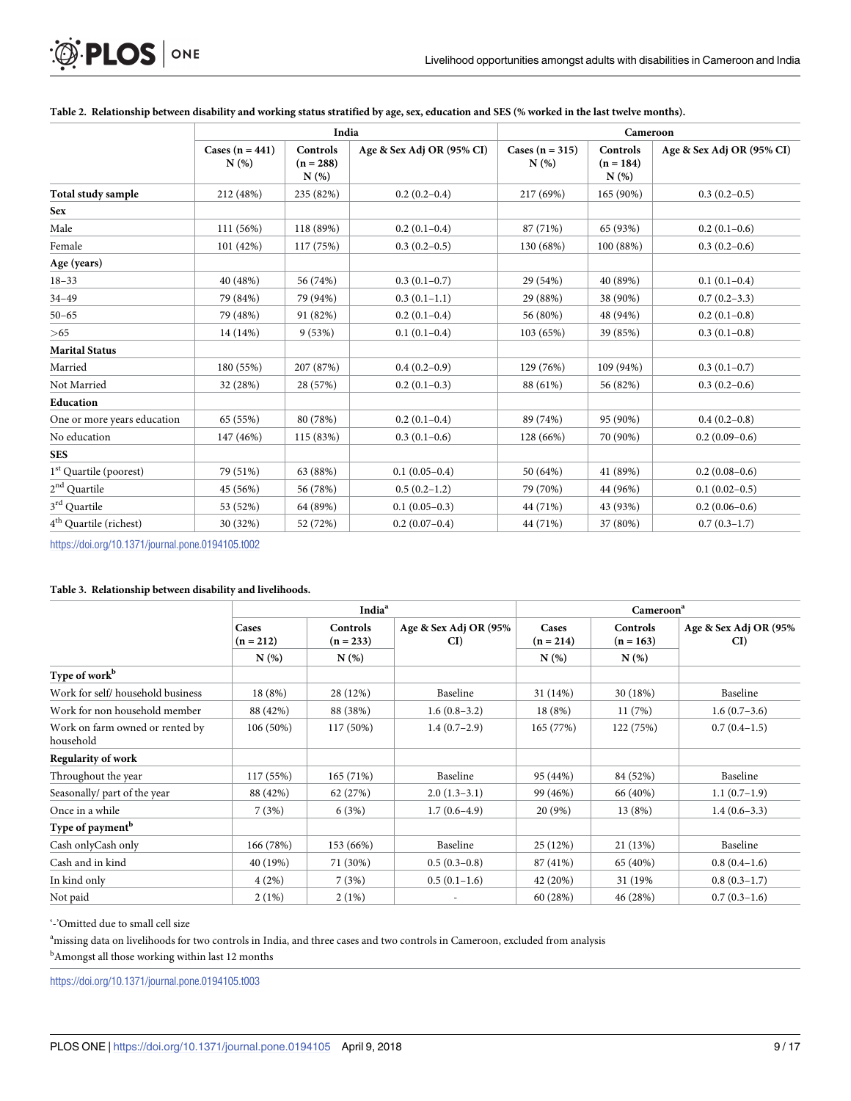<span id="page-8-0"></span>

|                                    |                           | India                           |                           | Cameroon                  |                                 |                           |  |
|------------------------------------|---------------------------|---------------------------------|---------------------------|---------------------------|---------------------------------|---------------------------|--|
|                                    | Cases $(n = 441)$<br>N(%) | Controls<br>$(n = 288)$<br>N(%) | Age & Sex Adj OR (95% CI) | Cases $(n = 315)$<br>N(%) | Controls<br>$(n = 184)$<br>N(%) | Age & Sex Adj OR (95% CI) |  |
| Total study sample                 | 212 (48%)                 | 235 (82%)                       | $0.2(0.2-0.4)$            | 217 (69%)                 | 165 (90%)                       | $0.3(0.2-0.5)$            |  |
| <b>Sex</b>                         |                           |                                 |                           |                           |                                 |                           |  |
| Male                               | 111 (56%)                 | 118 (89%)                       | $0.2(0.1-0.4)$            | 87 (71%)                  | 65 (93%)                        | $0.2(0.1-0.6)$            |  |
| Female                             | 101 (42%)                 | 117 (75%)                       | $0.3(0.2-0.5)$            | 130 (68%)                 | 100 (88%)                       | $0.3(0.2-0.6)$            |  |
| Age (years)                        |                           |                                 |                           |                           |                                 |                           |  |
| $18 - 33$                          | 40 (48%)                  | 56 (74%)                        | $0.3(0.1-0.7)$            | 29 (54%)                  | 40 (89%)                        | $0.1(0.1-0.4)$            |  |
| $34 - 49$                          | 79 (84%)                  | 79 (94%)                        | $0.3(0.1-1.1)$            | 29 (88%)                  | 38 (90%)                        | $0.7(0.2-3.3)$            |  |
| $50 - 65$                          | 79 (48%)                  | 91 (82%)                        | $0.2(0.1-0.4)$            | 56 (80%)                  | 48 (94%)                        | $0.2(0.1-0.8)$            |  |
| > 65                               | 14 (14%)                  | 9(53%)                          | $0.1(0.1-0.4)$            | 103 (65%)                 | 39 (85%)                        | $0.3(0.1-0.8)$            |  |
| <b>Marital Status</b>              |                           |                                 |                           |                           |                                 |                           |  |
| Married                            | 180 (55%)                 | 207 (87%)                       | $0.4(0.2-0.9)$            | 129 (76%)                 | 109 (94%)                       | $0.3(0.1-0.7)$            |  |
| Not Married                        | 32 (28%)                  | 28 (57%)                        | $0.2(0.1-0.3)$            | 88 (61%)                  | 56 (82%)                        | $0.3(0.2-0.6)$            |  |
| <b>Education</b>                   |                           |                                 |                           |                           |                                 |                           |  |
| One or more years education        | 65 (55%)                  | 80 (78%)                        | $0.2(0.1-0.4)$            | 89 (74%)                  | 95 (90%)                        | $0.4(0.2-0.8)$            |  |
| No education                       | 147 (46%)                 | 115 (83%)                       | $0.3(0.1-0.6)$            | 128 (66%)                 | 70 (90%)                        | $0.2(0.09-0.6)$           |  |
| <b>SES</b>                         |                           |                                 |                           |                           |                                 |                           |  |
| $1st$ Quartile (poorest)           | 79 (51%)                  | 63 (88%)                        | $0.1(0.05-0.4)$           | 50 (64%)                  | 41 (89%)                        | $0.2(0.08-0.6)$           |  |
| 2 <sup>nd</sup> Quartile           | 45 (56%)                  | 56 (78%)                        | $0.5(0.2-1.2)$            | 79 (70%)                  | 44 (96%)                        | $0.1(0.02-0.5)$           |  |
| 3 <sup>rd</sup> Quartile           | 53 (52%)                  | 64 (89%)                        | $0.1(0.05-0.3)$           | 44 (71%)                  | 43 (93%)                        | $0.2(0.06-0.6)$           |  |
| 4 <sup>th</sup> Quartile (richest) | 30 (32%)                  | 52 (72%)                        | $0.2(0.07-0.4)$           | 44 (71%)                  | 37 (80%)                        | $0.7(0.3-1.7)$            |  |

#### [Table](#page-6-0) 2. Relationship between disability and working status stratified by age, sex, education and SES (% worked in the last twelve months).

<https://doi.org/10.1371/journal.pone.0194105.t002>

#### **[Table](#page-6-0) 3. Relationship between disability and livelihoods.**

|                                              |                      | India <sup>a</sup>      |                               | Cameroon <sup>a</sup> |                         |                              |  |
|----------------------------------------------|----------------------|-------------------------|-------------------------------|-----------------------|-------------------------|------------------------------|--|
|                                              | Cases<br>$(n = 212)$ | Controls<br>$(n = 233)$ | Age & Sex Adj OR (95%)<br>CI) | Cases<br>$(n = 214)$  | Controls<br>$(n = 163)$ | Age & Sex Adj OR (95%<br>CI) |  |
|                                              | $N(\%)$              | N(%)                    |                               | N(%)                  | N(%)                    |                              |  |
| Type of work <sup>b</sup>                    |                      |                         |                               |                       |                         |                              |  |
| Work for self/ household business            | 18 (8%)              | 28 (12%)                | Baseline                      | 31 (14%)              | 30 (18%)                | Baseline                     |  |
| Work for non household member                | 88 (42%)             | 88 (38%)                | $1.6(0.8-3.2)$                | 18 (8%)               | 11(7%)                  | $1.6(0.7-3.6)$               |  |
| Work on farm owned or rented by<br>household | 106 (50%)            | 117 (50%)               | $1.4(0.7-2.9)$                | 165 (77%)             | 122 (75%)               | $0.7(0.4-1.5)$               |  |
| <b>Regularity of work</b>                    |                      |                         |                               |                       |                         |                              |  |
| Throughout the year                          | 117 (55%)            | 165(71%)                | Baseline                      | 95 (44%)              | 84 (52%)                | Baseline                     |  |
| Seasonally/ part of the year                 | 88 (42%)             | 62 (27%)                | $2.0(1.3-3.1)$                | 99 (46%)              | 66 (40%)                | $1.1(0.7-1.9)$               |  |
| Once in a while                              | 7(3%)                | 6(3%)                   | $1.7(0.6-4.9)$                | 20 (9%)               | 13 (8%)                 | $1.4(0.6-3.3)$               |  |
| Type of payment <sup>b</sup>                 |                      |                         |                               |                       |                         |                              |  |
| Cash onlyCash only                           | 166 (78%)            | 153 (66%)               | Baseline                      | 25 (12%)              | 21 (13%)                | Baseline                     |  |
| Cash and in kind                             | 40 (19%)             | 71 (30%)                | $0.5(0.3-0.8)$                | 87 (41%)              | 65 (40%)                | $0.8(0.4-1.6)$               |  |
| In kind only                                 | 4(2%)                | 7(3%)                   | $0.5(0.1-1.6)$                | 42 (20%)              | 31 (19%)                | $0.8(0.3-1.7)$               |  |
| Not paid                                     | $2(1\%)$             | 2(1%)                   |                               | 60 (28%)              | 46 (28%)                | $0.7(0.3-1.6)$               |  |

'-'Omitted due to small cell size

<sup>a</sup>missing data on livelihoods for two controls in India, and three cases and two controls in Cameroon, excluded from analysis

<sup>b</sup>Amongst all those working within last 12 months

<https://doi.org/10.1371/journal.pone.0194105.t003>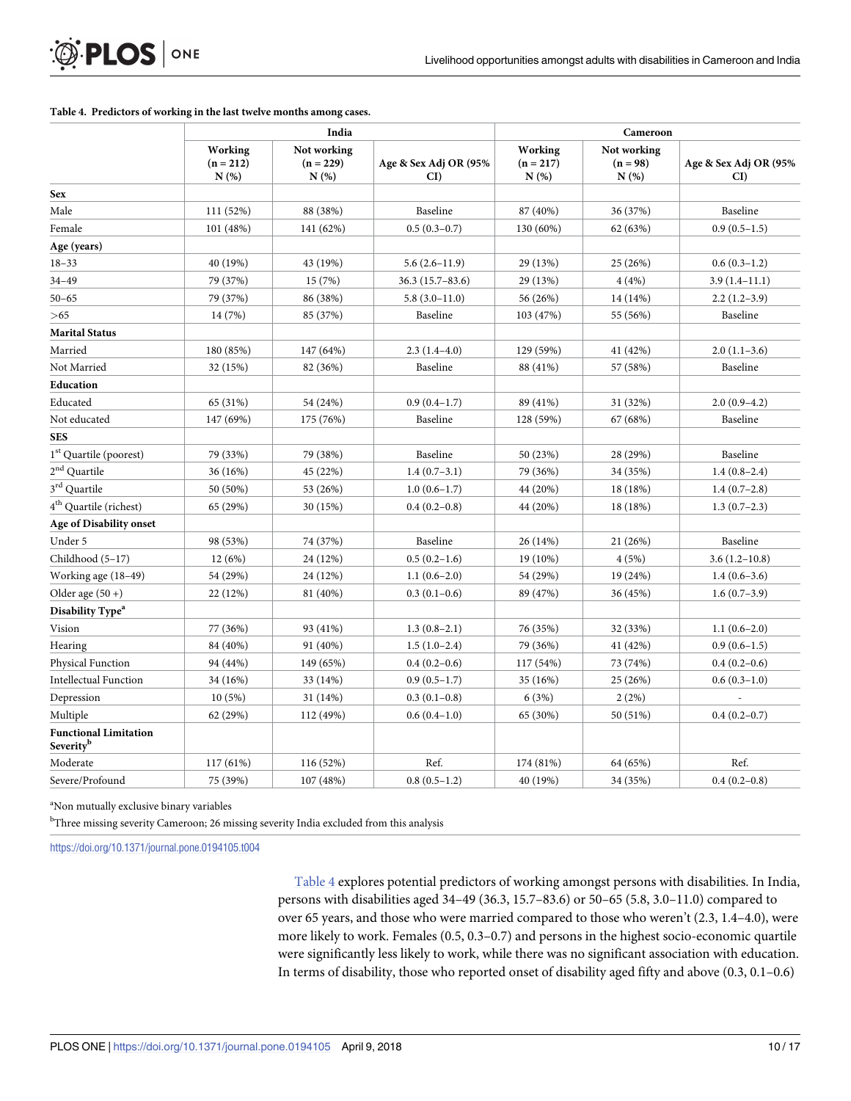#### **Table 4. Predictors of working in the last twelve months among cases.**

|                                           | India                          |                                    |                              | Cameroon                       |                                   |                              |  |
|-------------------------------------------|--------------------------------|------------------------------------|------------------------------|--------------------------------|-----------------------------------|------------------------------|--|
|                                           | Working<br>$(n = 212)$<br>N(%) | Not working<br>$(n = 229)$<br>N(%) | Age & Sex Adj OR (95%<br>CI) | Working<br>$(n = 217)$<br>N(%) | Not working<br>$(n = 98)$<br>N(%) | Age & Sex Adj OR (95%<br>CI) |  |
| <b>Sex</b>                                |                                |                                    |                              |                                |                                   |                              |  |
| Male                                      | 111 (52%)                      | 88 (38%)                           | Baseline                     | 87 (40%)                       | 36 (37%)                          | Baseline                     |  |
| Female                                    | 101 (48%)                      | 141 (62%)                          | $0.5(0.3-0.7)$               | 130 (60%)                      | 62 (63%)                          | $0.9(0.5-1.5)$               |  |
| Age (years)                               |                                |                                    |                              |                                |                                   |                              |  |
| $18 - 33$                                 | 40 (19%)                       | 43 (19%)                           | $5.6(2.6-11.9)$              | 29 (13%)                       | 25(26%)                           | $0.6(0.3-1.2)$               |  |
| $34 - 49$                                 | 79 (37%)                       | 15(7%)                             | $36.3(15.7 - 83.6)$          | 29 (13%)                       | 4(4%)                             | $3.9(1.4-11.1)$              |  |
| $50 - 65$                                 | 79 (37%)                       | 86 (38%)                           | $5.8(3.0-11.0)$              | 56 (26%)                       | 14 (14%)                          | $2.2(1.2-3.9)$               |  |
| >65                                       | 14 (7%)                        | 85 (37%)                           | Baseline                     | 103 (47%)                      | 55 (56%)                          | Baseline                     |  |
| <b>Marital Status</b>                     |                                |                                    |                              |                                |                                   |                              |  |
| Married                                   | 180 (85%)                      | 147 (64%)                          | $2.3(1.4-4.0)$               | 129 (59%)                      | 41 (42%)                          | $2.0(1.1-3.6)$               |  |
| Not Married                               | 32 (15%)                       | 82 (36%)                           | Baseline                     | 88 (41%)                       | 57 (58%)                          | Baseline                     |  |
| Education                                 |                                |                                    |                              |                                |                                   |                              |  |
| Educated                                  | 65 (31%)                       | 54 (24%)                           | $0.9(0.4-1.7)$               | 89 (41%)                       | 31 (32%)                          | $2.0(0.9-4.2)$               |  |
| Not educated                              | 147 (69%)                      | 175 (76%)                          | Baseline                     | 128 (59%)                      | 67 (68%)                          | Baseline                     |  |
| <b>SES</b>                                |                                |                                    |                              |                                |                                   |                              |  |
| 1 <sup>st</sup> Quartile (poorest)        | 79 (33%)                       | 79 (38%)                           | Baseline                     | 50 (23%)                       | 28 (29%)                          | Baseline                     |  |
| $2nd$ Quartile                            | 36 (16%)                       | 45 (22%)                           | $1.4(0.7-3.1)$               | 79 (36%)                       | 34 (35%)                          | $1.4(0.8-2.4)$               |  |
| $3^{\rm rd}$ Quartile                     | 50 (50%)                       | 53 (26%)                           | $1.0(0.6-1.7)$               | 44 (20%)                       | 18 (18%)                          | $1.4(0.7-2.8)$               |  |
| 4 <sup>th</sup> Quartile (richest)        | 65 (29%)                       | 30 (15%)                           | $0.4(0.2-0.8)$               | 44 (20%)                       | 18 (18%)                          | $1.3(0.7-2.3)$               |  |
| Age of Disability onset                   |                                |                                    |                              |                                |                                   |                              |  |
| Under 5                                   | 98 (53%)                       | 74 (37%)                           | Baseline                     | 26 (14%)                       | 21 (26%)                          | Baseline                     |  |
| Childhood (5-17)                          | 12(6%)                         | 24 (12%)                           | $0.5(0.2-1.6)$               | 19 (10%)                       | 4(5%)                             | $3.6(1.2 - 10.8)$            |  |
| Working age (18–49)                       | 54 (29%)                       | 24 (12%)                           | $1.1(0.6-2.0)$               | 54 (29%)                       | 19 (24%)                          | $1.4(0.6-3.6)$               |  |
| Older age $(50 +)$                        | 22 (12%)                       | 81 (40%)                           | $0.3(0.1-0.6)$               | 89 (47%)                       | 36 (45%)                          | $1.6(0.7-3.9)$               |  |
| Disability Type <sup>a</sup>              |                                |                                    |                              |                                |                                   |                              |  |
| Vision                                    | 77 (36%)                       | 93 (41%)                           | $1.3(0.8-2.1)$               | 76 (35%)                       | 32 (33%)                          | $1.1(0.6-2.0)$               |  |
| Hearing                                   | 84 (40%)                       | 91 (40%)                           | $1.5(1.0-2.4)$               | 79 (36%)                       | 41 (42%)                          | $0.9(0.6-1.5)$               |  |
| Physical Function                         | 94 (44%)                       | 149 (65%)                          | $0.4(0.2-0.6)$               | 117 (54%)                      | 73 (74%)                          | $0.4(0.2-0.6)$               |  |
| <b>Intellectual Function</b>              | 34 (16%)                       | 33 (14%)                           | $0.9(0.5-1.7)$               | 35 (16%)                       | 25 (26%)                          | $0.6(0.3-1.0)$               |  |
| Depression                                | 10(5%)                         | 31 (14%)                           | $0.3(0.1-0.8)$               | 6(3%)                          | 2(2%)                             |                              |  |
| Multiple                                  | 62 (29%)                       | 112 (49%)                          | $0.6(0.4-1.0)$               | 65 (30%)                       | 50 (51%)                          | $0.4(0.2-0.7)$               |  |
| <b>Functional Limitation</b><br>Severityb |                                |                                    |                              |                                |                                   |                              |  |
| Moderate                                  | 117 (61%)                      | 116 (52%)                          | Ref.                         | 174 (81%)                      | 64 (65%)                          | Ref.                         |  |
| Severe/Profound                           | 75 (39%)                       | 107 (48%)                          | $0.8(0.5-1.2)$               | 40 (19%)                       | 34 (35%)                          | $0.4(0.2-0.8)$               |  |

<sup>a</sup>Non mutually exclusive binary variables

<sup>b</sup>Three missing severity Cameroon; 26 missing severity India excluded from this analysis

<https://doi.org/10.1371/journal.pone.0194105.t004>

Table 4 explores potential predictors of working amongst persons with disabilities. In India, persons with disabilities aged 34–49 (36.3, 15.7–83.6) or 50–65 (5.8, 3.0–11.0) compared to over 65 years, and those who were married compared to those who weren't (2.3, 1.4–4.0), were more likely to work. Females (0.5, 0.3–0.7) and persons in the highest socio-economic quartile were significantly less likely to work, while there was no significant association with education. In terms of disability, those who reported onset of disability aged fifty and above (0.3, 0.1–0.6)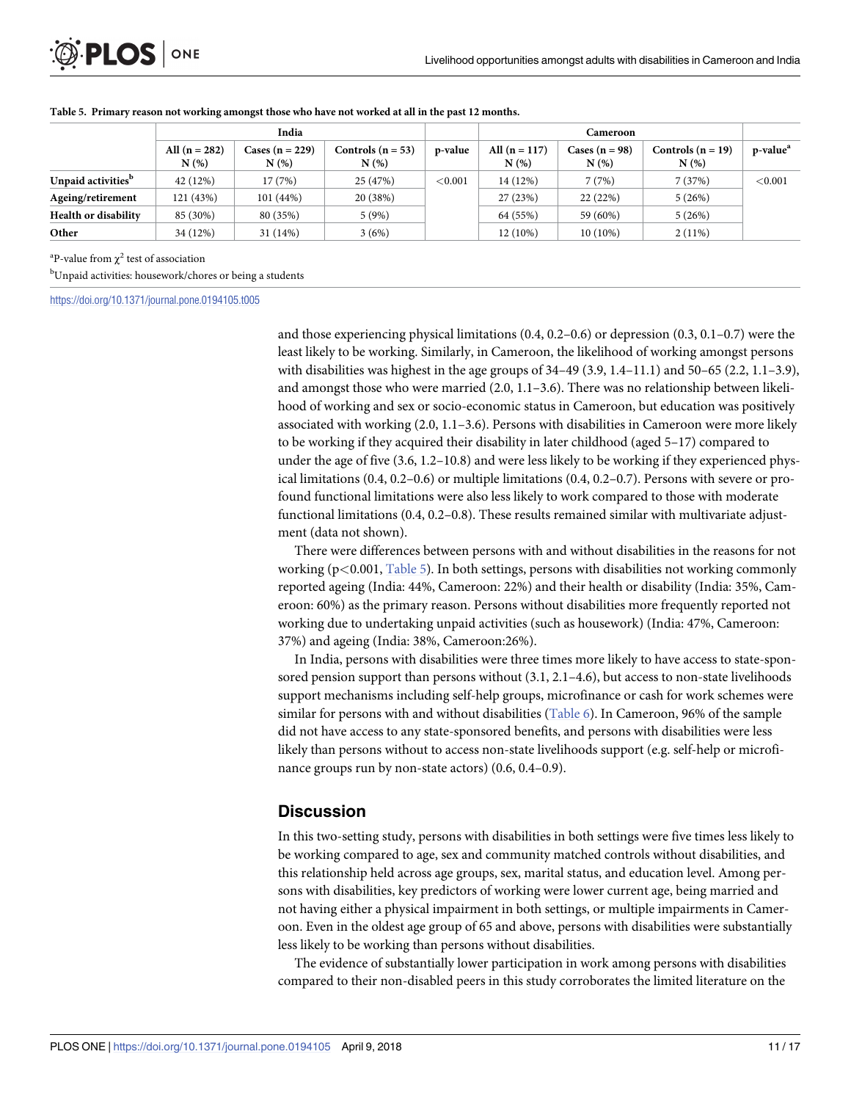<span id="page-10-0"></span>

|                                | India                   |                              |                             |         |                         |                         |                             |                      |
|--------------------------------|-------------------------|------------------------------|-----------------------------|---------|-------------------------|-------------------------|-----------------------------|----------------------|
|                                | All $(n = 282)$<br>N(%) | Cases $(n = 229)$<br>$N(\%)$ | Controls $(n = 53)$<br>N(%) | p-value | All $(n = 117)$<br>N(%) | Cases $(n = 98)$<br>N(% | Controls $(n = 19)$<br>N(%) | p-value <sup>a</sup> |
| Unpaid activities <sup>b</sup> | 42 (12%)                | 17(7%)                       | 25 (47%)                    | < 0.001 | 14 (12%)                | 7(7%)                   | 7(37%)                      | < 0.001              |
| Ageing/retirement              | 121 (43%)               | 101(44%)                     | 20 (38%)                    |         | 27 (23%)                | 22(22%)                 | 5(26%)                      |                      |
| <b>Health or disability</b>    | 85 (30%)                | 80 (35%)                     | 5(9%)                       |         | 64 (55%)                | 59 (60%)                | 5(26%)                      |                      |
| Other                          | 34 (12%)                | 31 (14%)                     | 3(6%)                       |         | 12 (10%)                | $10(10\%)$              | $2(11\%)$                   |                      |

#### Table 5. Primary reason not working amongst those who have not worked at all in the past 12 months.

<sup>a</sup>P-value from  $\chi^2$  test of association

<sup>b</sup>Unpaid activities: housework/chores or being a students

<https://doi.org/10.1371/journal.pone.0194105.t005>

and those experiencing physical limitations (0.4, 0.2–0.6) or depression (0.3, 0.1–0.7) were the least likely to be working. Similarly, in Cameroon, the likelihood of working amongst persons with disabilities was highest in the age groups of  $34-49$  (3.9, 1.4–11.1) and  $50-65$  (2.2, 1.1–3.9), and amongst those who were married (2.0, 1.1–3.6). There was no relationship between likelihood of working and sex or socio-economic status in Cameroon, but education was positively associated with working (2.0, 1.1–3.6). Persons with disabilities in Cameroon were more likely to be working if they acquired their disability in later childhood (aged 5–17) compared to under the age of five (3.6, 1.2–10.8) and were less likely to be working if they experienced physical limitations (0.4, 0.2–0.6) or multiple limitations (0.4, 0.2–0.7). Persons with severe or profound functional limitations were also less likely to work compared to those with moderate functional limitations (0.4, 0.2–0.8). These results remained similar with multivariate adjustment (data not shown).

There were differences between persons with and without disabilities in the reasons for not working (p*<*0.001, Table 5). In both settings, persons with disabilities not working commonly reported ageing (India: 44%, Cameroon: 22%) and their health or disability (India: 35%, Cameroon: 60%) as the primary reason. Persons without disabilities more frequently reported not working due to undertaking unpaid activities (such as housework) (India: 47%, Cameroon: 37%) and ageing (India: 38%, Cameroon:26%).

In India, persons with disabilities were three times more likely to have access to state-sponsored pension support than persons without (3.1, 2.1–4.6), but access to non-state livelihoods support mechanisms including self-help groups, microfinance or cash for work schemes were similar for persons with and without disabilities [\(Table](#page-11-0) 6). In Cameroon, 96% of the sample did not have access to any state-sponsored benefits, and persons with disabilities were less likely than persons without to access non-state livelihoods support (e.g. self-help or microfinance groups run by non-state actors) (0.6, 0.4–0.9).

# **Discussion**

In this two-setting study, persons with disabilities in both settings were five times less likely to be working compared to age, sex and community matched controls without disabilities, and this relationship held across age groups, sex, marital status, and education level. Among persons with disabilities, key predictors of working were lower current age, being married and not having either a physical impairment in both settings, or multiple impairments in Cameroon. Even in the oldest age group of 65 and above, persons with disabilities were substantially less likely to be working than persons without disabilities.

The evidence of substantially lower participation in work among persons with disabilities compared to their non-disabled peers in this study corroborates the limited literature on the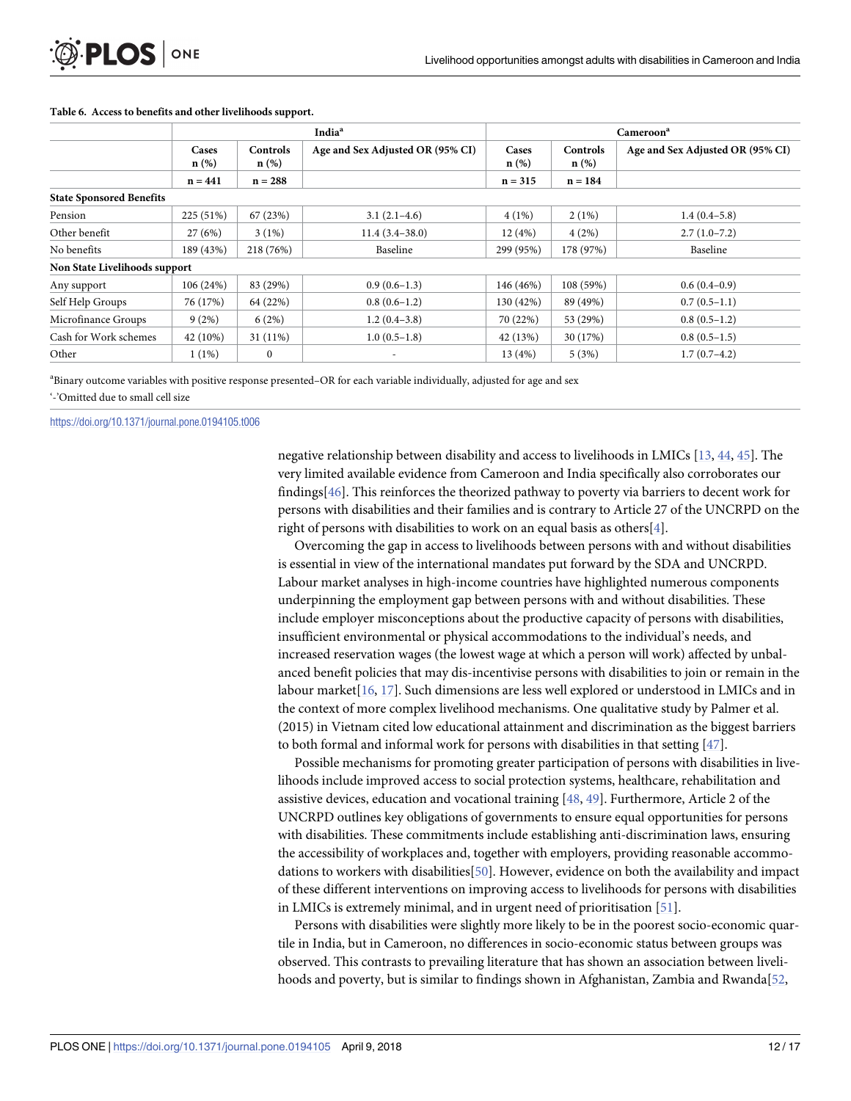|                                 | India <sup>a</sup>                   |            |                                  | Cameroon <sup>a</sup> |                     |                                  |  |
|---------------------------------|--------------------------------------|------------|----------------------------------|-----------------------|---------------------|----------------------------------|--|
|                                 | Cases<br>Controls<br>$n(\%)$<br>n(%) |            | Age and Sex Adjusted OR (95% CI) | Cases<br>$n(\%)$      | Controls<br>$n(\%)$ | Age and Sex Adjusted OR (95% CI) |  |
|                                 | $n = 441$                            | $n = 288$  |                                  | $n = 315$             | $n = 184$           |                                  |  |
| <b>State Sponsored Benefits</b> |                                      |            |                                  |                       |                     |                                  |  |
| Pension                         | 225 (51%)                            | 67 (23%)   | $3.1(2.1-4.6)$                   | 4(1%)                 | 2(1%)               | $1.4(0.4-5.8)$                   |  |
| Other benefit                   | 27(6%)                               | $3(1\%)$   | $11.4(3.4 - 38.0)$               | 12(4%)                | 4(2%)               | $2.7(1.0-7.2)$                   |  |
| No benefits                     | 189 (43%)                            | 218 (76%)  | Baseline                         | 299 (95%)             | 178 (97%)           | Baseline                         |  |
| Non State Livelihoods support   |                                      |            |                                  |                       |                     |                                  |  |
| Any support                     | 106 (24%)                            | 83 (29%)   | $0.9(0.6-1.3)$                   | 146 (46%)             | 108 (59%)           | $0.6(0.4-0.9)$                   |  |
| Self Help Groups                | 76 (17%)                             | 64 (22%)   | $0.8(0.6-1.2)$                   | 130 (42%)             | 89 (49%)            | $0.7(0.5-1.1)$                   |  |
| Microfinance Groups             | 9(2%)                                | 6(2%)      | $1.2(0.4-3.8)$                   | 70 (22%)              | 53 (29%)            | $0.8(0.5-1.2)$                   |  |
| Cash for Work schemes           | 42 (10%)                             | $31(11\%)$ | $1.0(0.5-1.8)$                   | 42 (13%)              | 30 (17%)            | $0.8(0.5-1.5)$                   |  |
| Other                           | $1(1\%)$                             | $\bf{0}$   | $\overline{\phantom{a}}$         | 13(4%)                | 5(3%)               | $1.7(0.7-4.2)$                   |  |

#### <span id="page-11-0"></span>**[Table](#page-10-0) 6. Access to benefits and other livelihoods support.**

a Binary outcome variables with positive response presented–OR for each variable individually, adjusted for age and sex '-'Omitted due to small cell size

<https://doi.org/10.1371/journal.pone.0194105.t006>

negative relationship between disability and access to livelihoods in LMICs [[13](#page-14-0), [44,](#page-15-0) [45\]](#page-15-0). The very limited available evidence from Cameroon and India specifically also corroborates our findings[\[46\]](#page-16-0). This reinforces the theorized pathway to poverty via barriers to decent work for persons with disabilities and their families and is contrary to Article 27 of the UNCRPD on the right of persons with disabilities to work on an equal basis as others[[4](#page-14-0)].

Overcoming the gap in access to livelihoods between persons with and without disabilities is essential in view of the international mandates put forward by the SDA and UNCRPD. Labour market analyses in high-income countries have highlighted numerous components underpinning the employment gap between persons with and without disabilities. These include employer misconceptions about the productive capacity of persons with disabilities, insufficient environmental or physical accommodations to the individual's needs, and increased reservation wages (the lowest wage at which a person will work) affected by unbalanced benefit policies that may dis-incentivise persons with disabilities to join or remain in the labour market[[16](#page-14-0), [17](#page-14-0)]. Such dimensions are less well explored or understood in LMICs and in the context of more complex livelihood mechanisms. One qualitative study by Palmer et al. (2015) in Vietnam cited low educational attainment and discrimination as the biggest barriers to both formal and informal work for persons with disabilities in that setting [[47](#page-16-0)].

Possible mechanisms for promoting greater participation of persons with disabilities in livelihoods include improved access to social protection systems, healthcare, rehabilitation and assistive devices, education and vocational training [[48](#page-16-0), [49](#page-16-0)]. Furthermore, Article 2 of the UNCRPD outlines key obligations of governments to ensure equal opportunities for persons with disabilities. These commitments include establishing anti-discrimination laws, ensuring the accessibility of workplaces and, together with employers, providing reasonable accommo-dations to workers with disabilities[[50](#page-16-0)]. However, evidence on both the availability and impact of these different interventions on improving access to livelihoods for persons with disabilities in LMICs is extremely minimal, and in urgent need of prioritisation [\[51\]](#page-16-0).

Persons with disabilities were slightly more likely to be in the poorest socio-economic quartile in India, but in Cameroon, no differences in socio-economic status between groups was observed. This contrasts to prevailing literature that has shown an association between livelihoods and poverty, but is similar to findings shown in Afghanistan, Zambia and Rwanda[\[52,](#page-16-0)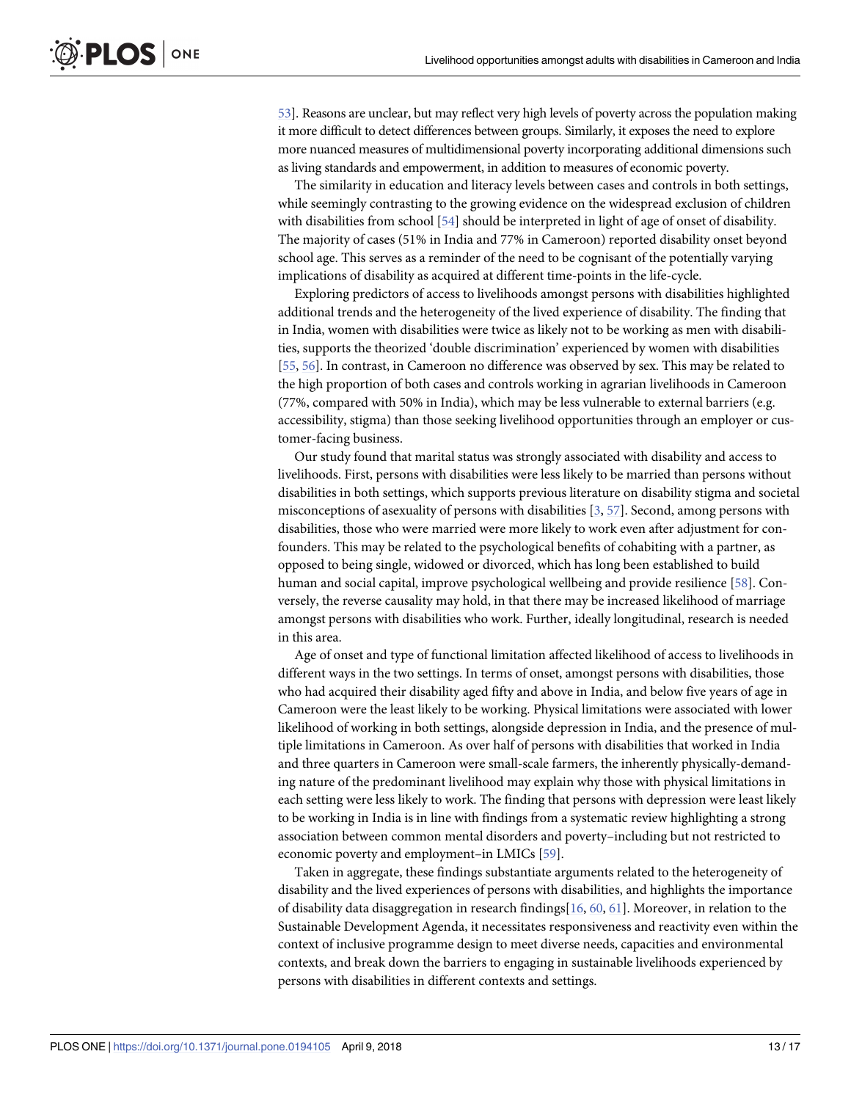<span id="page-12-0"></span>[53\]](#page-16-0). Reasons are unclear, but may reflect very high levels of poverty across the population making it more difficult to detect differences between groups. Similarly, it exposes the need to explore more nuanced measures of multidimensional poverty incorporating additional dimensions such as living standards and empowerment, in addition to measures of economic poverty.

The similarity in education and literacy levels between cases and controls in both settings, while seemingly contrasting to the growing evidence on the widespread exclusion of children with disabilities from school [[54](#page-16-0)] should be interpreted in light of age of onset of disability. The majority of cases (51% in India and 77% in Cameroon) reported disability onset beyond school age. This serves as a reminder of the need to be cognisant of the potentially varying implications of disability as acquired at different time-points in the life-cycle.

Exploring predictors of access to livelihoods amongst persons with disabilities highlighted additional trends and the heterogeneity of the lived experience of disability. The finding that in India, women with disabilities were twice as likely not to be working as men with disabilities, supports the theorized 'double discrimination' experienced by women with disabilities [\[55,](#page-16-0) [56\]](#page-16-0). In contrast, in Cameroon no difference was observed by sex. This may be related to the high proportion of both cases and controls working in agrarian livelihoods in Cameroon (77%, compared with 50% in India), which may be less vulnerable to external barriers (e.g. accessibility, stigma) than those seeking livelihood opportunities through an employer or customer-facing business.

Our study found that marital status was strongly associated with disability and access to livelihoods. First, persons with disabilities were less likely to be married than persons without disabilities in both settings, which supports previous literature on disability stigma and societal misconceptions of asexuality of persons with disabilities [\[3](#page-14-0), [57](#page-16-0)]. Second, among persons with disabilities, those who were married were more likely to work even after adjustment for confounders. This may be related to the psychological benefits of cohabiting with a partner, as opposed to being single, widowed or divorced, which has long been established to build human and social capital, improve psychological wellbeing and provide resilience [[58](#page-16-0)]. Conversely, the reverse causality may hold, in that there may be increased likelihood of marriage amongst persons with disabilities who work. Further, ideally longitudinal, research is needed in this area.

Age of onset and type of functional limitation affected likelihood of access to livelihoods in different ways in the two settings. In terms of onset, amongst persons with disabilities, those who had acquired their disability aged fifty and above in India, and below five years of age in Cameroon were the least likely to be working. Physical limitations were associated with lower likelihood of working in both settings, alongside depression in India, and the presence of multiple limitations in Cameroon. As over half of persons with disabilities that worked in India and three quarters in Cameroon were small-scale farmers, the inherently physically-demanding nature of the predominant livelihood may explain why those with physical limitations in each setting were less likely to work. The finding that persons with depression were least likely to be working in India is in line with findings from a systematic review highlighting a strong association between common mental disorders and poverty–including but not restricted to economic poverty and employment–in LMICs [[59](#page-16-0)].

Taken in aggregate, these findings substantiate arguments related to the heterogeneity of disability and the lived experiences of persons with disabilities, and highlights the importance of disability data disaggregation in research findings $[16, 60, 61]$  $[16, 60, 61]$  $[16, 60, 61]$  $[16, 60, 61]$  $[16, 60, 61]$ . Moreover, in relation to the Sustainable Development Agenda, it necessitates responsiveness and reactivity even within the context of inclusive programme design to meet diverse needs, capacities and environmental contexts, and break down the barriers to engaging in sustainable livelihoods experienced by persons with disabilities in different contexts and settings.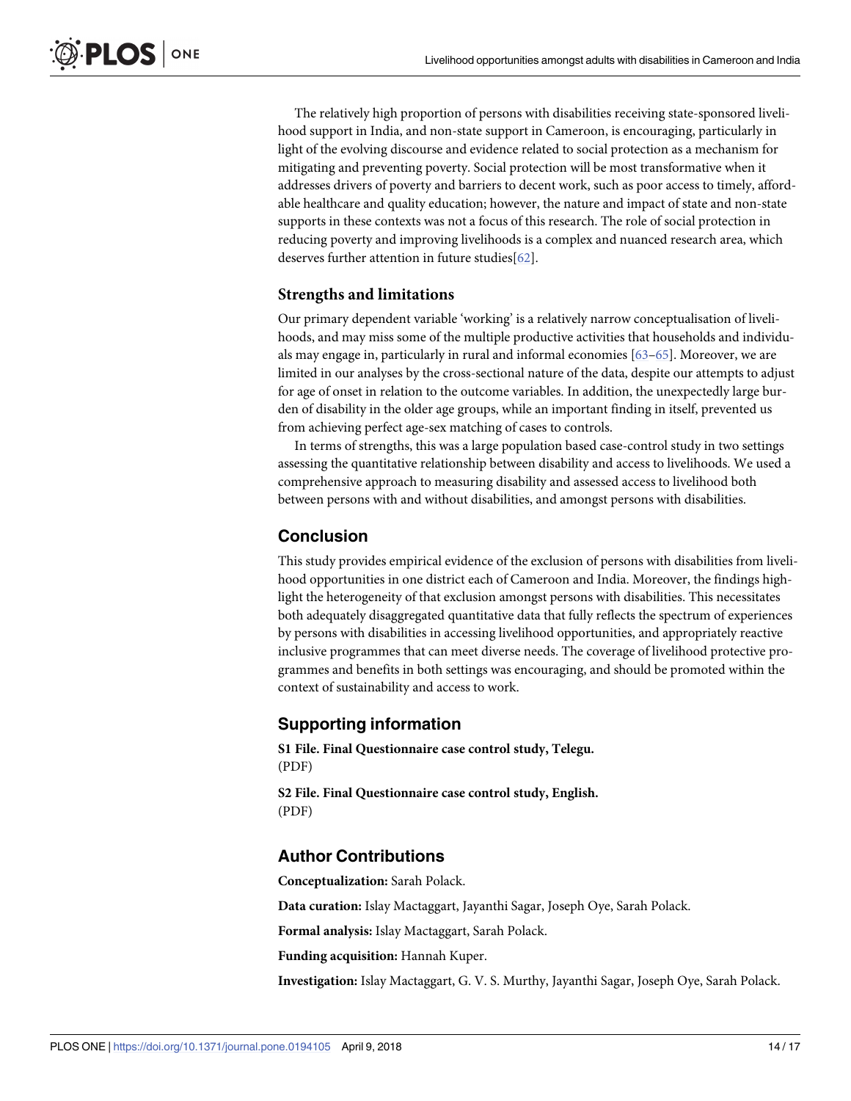<span id="page-13-0"></span>The relatively high proportion of persons with disabilities receiving state-sponsored livelihood support in India, and non-state support in Cameroon, is encouraging, particularly in light of the evolving discourse and evidence related to social protection as a mechanism for mitigating and preventing poverty. Social protection will be most transformative when it addresses drivers of poverty and barriers to decent work, such as poor access to timely, affordable healthcare and quality education; however, the nature and impact of state and non-state supports in these contexts was not a focus of this research. The role of social protection in reducing poverty and improving livelihoods is a complex and nuanced research area, which deserves further attention in future studies[\[62\]](#page-16-0).

# **Strengths and limitations**

Our primary dependent variable 'working' is a relatively narrow conceptualisation of livelihoods, and may miss some of the multiple productive activities that households and individuals may engage in, particularly in rural and informal economies [\[63–65](#page-16-0)]. Moreover, we are limited in our analyses by the cross-sectional nature of the data, despite our attempts to adjust for age of onset in relation to the outcome variables. In addition, the unexpectedly large burden of disability in the older age groups, while an important finding in itself, prevented us from achieving perfect age-sex matching of cases to controls.

In terms of strengths, this was a large population based case-control study in two settings assessing the quantitative relationship between disability and access to livelihoods. We used a comprehensive approach to measuring disability and assessed access to livelihood both between persons with and without disabilities, and amongst persons with disabilities.

# **Conclusion**

This study provides empirical evidence of the exclusion of persons with disabilities from livelihood opportunities in one district each of Cameroon and India. Moreover, the findings highlight the heterogeneity of that exclusion amongst persons with disabilities. This necessitates both adequately disaggregated quantitative data that fully reflects the spectrum of experiences by persons with disabilities in accessing livelihood opportunities, and appropriately reactive inclusive programmes that can meet diverse needs. The coverage of livelihood protective programmes and benefits in both settings was encouraging, and should be promoted within the context of sustainability and access to work.

# **Supporting information**

**S1 [File.](http://www.plosone.org/article/fetchSingleRepresentation.action?uri=info:doi/10.1371/journal.pone.0194105.s001) Final Questionnaire case control study, Telegu.** (PDF)

**S2 [File.](http://www.plosone.org/article/fetchSingleRepresentation.action?uri=info:doi/10.1371/journal.pone.0194105.s002) Final Questionnaire case control study, English.** (PDF)

# **Author Contributions**

**Conceptualization:** Sarah Polack.

**Data curation:** Islay Mactaggart, Jayanthi Sagar, Joseph Oye, Sarah Polack.

**Formal analysis:** Islay Mactaggart, Sarah Polack.

**Funding acquisition:** Hannah Kuper.

**Investigation:** Islay Mactaggart, G. V. S. Murthy, Jayanthi Sagar, Joseph Oye, Sarah Polack.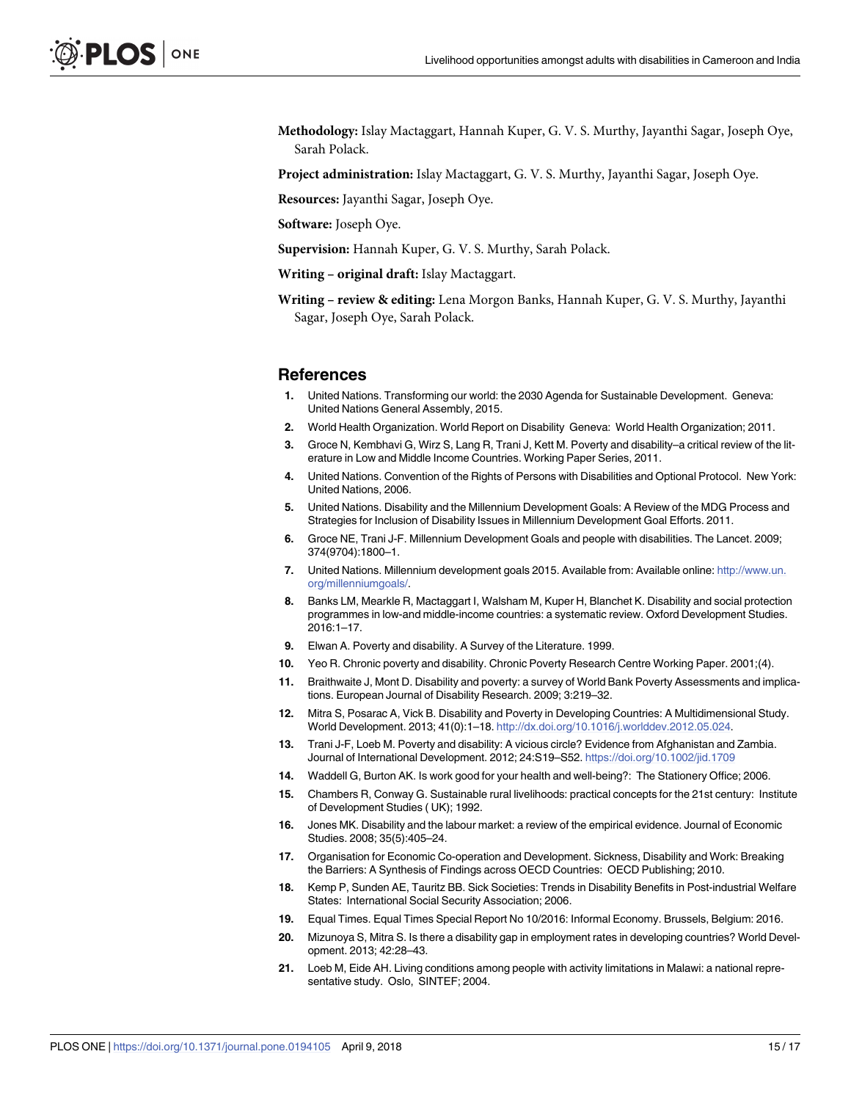<span id="page-14-0"></span>**Methodology:** Islay Mactaggart, Hannah Kuper, G. V. S. Murthy, Jayanthi Sagar, Joseph Oye, Sarah Polack.

**Project administration:** Islay Mactaggart, G. V. S. Murthy, Jayanthi Sagar, Joseph Oye.

**Resources:** Jayanthi Sagar, Joseph Oye.

**Software:** Joseph Oye.

**Supervision:** Hannah Kuper, G. V. S. Murthy, Sarah Polack.

**Writing – original draft:** Islay Mactaggart.

**Writing – review & editing:** Lena Morgon Banks, Hannah Kuper, G. V. S. Murthy, Jayanthi Sagar, Joseph Oye, Sarah Polack.

#### **References**

- **[1](#page-0-0).** United Nations. Transforming our world: the 2030 Agenda for Sustainable Development. Geneva: United Nations General Assembly, 2015.
- **[2](#page-0-0).** World Health Organization. World Report on Disability Geneva: World Health Organization; 2011.
- **[3](#page-0-0).** Groce N, Kembhavi G, Wirz S, Lang R, Trani J, Kett M. Poverty and disability–a critical review of the literature in Low and Middle Income Countries. Working Paper Series, 2011.
- **[4](#page-0-0).** United Nations. Convention of the Rights of Persons with Disabilities and Optional Protocol. New York: United Nations, 2006.
- **[5](#page-1-0).** United Nations. Disability and the Millennium Development Goals: A Review of the MDG Process and Strategies for Inclusion of Disability Issues in Millennium Development Goal Efforts. 2011.
- **6.** Groce NE, Trani J-F. Millennium Development Goals and people with disabilities. The Lancet. 2009; 374(9704):1800–1.
- **[7](#page-1-0).** United Nations. Millennium development goals 2015. Available from: Available online: [http://www.un.](http://www.un.org/millenniumgoals/) [org/millenniumgoals/](http://www.un.org/millenniumgoals/).
- **[8](#page-1-0).** Banks LM, Mearkle R, Mactaggart I, Walsham M, Kuper H, Blanchet K. Disability and social protection programmes in low-and middle-income countries: a systematic review. Oxford Development Studies. 2016:1–17.
- **[9](#page-1-0).** Elwan A. Poverty and disability. A Survey of the Literature. 1999.
- **[10](#page-1-0).** Yeo R. Chronic poverty and disability. Chronic Poverty Research Centre Working Paper. 2001;(4).
- **[11](#page-1-0).** Braithwaite J, Mont D. Disability and poverty: a survey of World Bank Poverty Assessments and implications. European Journal of Disability Research. 2009; 3:219–32.
- **[12](#page-1-0).** Mitra S, Posarac A, Vick B. Disability and Poverty in Developing Countries: A Multidimensional Study. World Development. 2013; 41(0):1–18. [http://dx.doi.org/10.1016/j.worlddev.2012.05.024.](http://dx.doi.org/10.1016/j.worlddev.2012.05.024)
- **[13](#page-1-0).** Trani J-F, Loeb M. Poverty and disability: A vicious circle? Evidence from Afghanistan and Zambia. Journal of International Development. 2012; 24:S19–S52. <https://doi.org/10.1002/jid.1709>
- **[14](#page-1-0).** Waddell G, Burton AK. Is work good for your health and well-being?: The Stationery Office; 2006.
- **[15](#page-1-0).** Chambers R, Conway G. Sustainable rural livelihoods: practical concepts for the 21st century: Institute of Development Studies ( UK); 1992.
- **[16](#page-1-0).** Jones MK. Disability and the labour market: a review of the empirical evidence. Journal of Economic Studies. 2008; 35(5):405–24.
- **[17](#page-11-0).** Organisation for Economic Co-operation and Development. Sickness, Disability and Work: Breaking the Barriers: A Synthesis of Findings across OECD Countries: OECD Publishing; 2010.
- **[18](#page-1-0).** Kemp P, Sunden AE, Tauritz BB. Sick Societies: Trends in Disability Benefits in Post-industrial Welfare States: International Social Security Association; 2006.
- **[19](#page-1-0).** Equal Times. Equal Times Special Report No 10/2016: Informal Economy. Brussels, Belgium: 2016.
- **[20](#page-1-0).** Mizunoya S, Mitra S. Is there a disability gap in employment rates in developing countries? World Development. 2013; 42:28–43.
- **[21](#page-1-0).** Loeb M, Eide AH. Living conditions among people with activity limitations in Malawi: a national representative study. Oslo, SINTEF; 2004.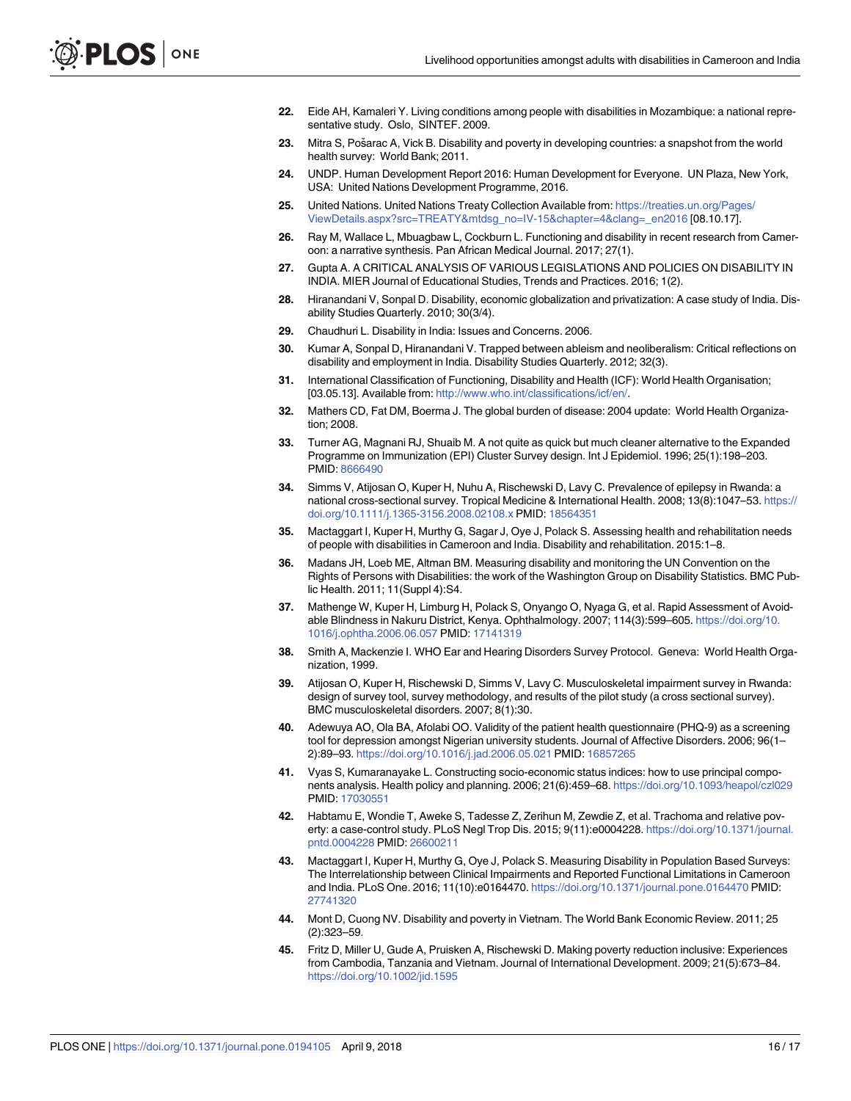- <span id="page-15-0"></span>**[22](#page-1-0).** Eide AH, Kamaleri Y. Living conditions among people with disabilities in Mozambique: a national representative study. Oslo, SINTEF. 2009.
- **[23](#page-1-0).** Mitra S, Pošarac A, Vick B. Disability and poverty in developing countries: a snapshot from the world health survey: World Bank; 2011.
- **[24](#page-1-0).** UNDP. Human Development Report 2016: Human Development for Everyone. UN Plaza, New York, USA: United Nations Development Programme, 2016.
- **[25](#page-2-0).** United Nations. United Nations Treaty Collection Available from: [https://treaties.un.org/Pages/](https://treaties.un.org/Pages/ViewDetails.aspx?src=TREATY&mtdsg_no=IV-15&chapter=4&clang=_en2016) [ViewDetails.aspx?src=TREATY&mtdsg\\_no=IV-15&chapter=4&clang=\\_en2016](https://treaties.un.org/Pages/ViewDetails.aspx?src=TREATY&mtdsg_no=IV-15&chapter=4&clang=_en2016) [08.10.17].
- **[26](#page-2-0).** Ray M, Wallace L, Mbuagbaw L, Cockburn L. Functioning and disability in recent research from Cameroon: a narrative synthesis. Pan African Medical Journal. 2017; 27(1).
- **[27](#page-2-0).** Gupta A. A CRITICAL ANALYSIS OF VARIOUS LEGISLATIONS AND POLICIES ON DISABILITY IN INDIA. MIER Journal of Educational Studies, Trends and Practices. 2016; 1(2).
- **[28](#page-2-0).** Hiranandani V, Sonpal D. Disability, economic globalization and privatization: A case study of India. Disability Studies Quarterly. 2010; 30(3/4).
- **29.** Chaudhuri L. Disability in India: Issues and Concerns. 2006.
- **[30](#page-2-0).** Kumar A, Sonpal D, Hiranandani V. Trapped between ableism and neoliberalism: Critical reflections on disability and employment in India. Disability Studies Quarterly. 2012; 32(3).
- **[31](#page-2-0).** International Classification of Functioning, Disability and Health (ICF): World Health Organisation; [03.05.13]. Available from: <http://www.who.int/classifications/icf/en/>.
- **[32](#page-2-0).** Mathers CD, Fat DM, Boerma J. The global burden of disease: 2004 update: World Health Organization; 2008.
- **[33](#page-2-0).** Turner AG, Magnani RJ, Shuaib M. A not quite as quick but much cleaner alternative to the Expanded Programme on Immunization (EPI) Cluster Survey design. Int J Epidemiol. 1996; 25(1):198–203. PMID: [8666490](http://www.ncbi.nlm.nih.gov/pubmed/8666490)
- **[34](#page-3-0).** Simms V, Atijosan O, Kuper H, Nuhu A, Rischewski D, Lavy C. Prevalence of epilepsy in Rwanda: a national cross-sectional survey. Tropical Medicine & International Health. 2008; 13(8):1047–53. [https://](https://doi.org/10.1111/j.1365-3156.2008.02108.x) [doi.org/10.1111/j.1365-3156.2008.02108.x](https://doi.org/10.1111/j.1365-3156.2008.02108.x) PMID: [18564351](http://www.ncbi.nlm.nih.gov/pubmed/18564351)
- **[35](#page-3-0).** Mactaggart I, Kuper H, Murthy G, Sagar J, Oye J, Polack S. Assessing health and rehabilitation needs of people with disabilities in Cameroon and India. Disability and rehabilitation. 2015:1–8.
- **[36](#page-3-0).** Madans JH, Loeb ME, Altman BM. Measuring disability and monitoring the UN Convention on the Rights of Persons with Disabilities: the work of the Washington Group on Disability Statistics. BMC Public Health. 2011; 11(Suppl 4):S4.
- **[37](#page-3-0).** Mathenge W, Kuper H, Limburg H, Polack S, Onyango O, Nyaga G, et al. Rapid Assessment of Avoidable Blindness in Nakuru District, Kenya. Ophthalmology. 2007; 114(3):599–605. [https://doi.org/10.](https://doi.org/10.1016/j.ophtha.2006.06.057) [1016/j.ophtha.2006.06.057](https://doi.org/10.1016/j.ophtha.2006.06.057) PMID: [17141319](http://www.ncbi.nlm.nih.gov/pubmed/17141319)
- **[38](#page-3-0).** Smith A, Mackenzie I. WHO Ear and Hearing Disorders Survey Protocol. Geneva: World Health Organization, 1999.
- **[39](#page-3-0).** Atijosan O, Kuper H, Rischewski D, Simms V, Lavy C. Musculoskeletal impairment survey in Rwanda: design of survey tool, survey methodology, and results of the pilot study (a cross sectional survey). BMC musculoskeletal disorders. 2007; 8(1):30.
- **[40](#page-3-0).** Adewuya AO, Ola BA, Afolabi OO. Validity of the patient health questionnaire (PHQ-9) as a screening tool for depression amongst Nigerian university students. Journal of Affective Disorders. 2006; 96(1– 2):89–93. <https://doi.org/10.1016/j.jad.2006.05.021> PMID: [16857265](http://www.ncbi.nlm.nih.gov/pubmed/16857265)
- **[41](#page-5-0).** Vyas S, Kumaranayake L. Constructing socio-economic status indices: how to use principal components analysis. Health policy and planning. 2006; 21(6):459–68. <https://doi.org/10.1093/heapol/czl029> PMID: [17030551](http://www.ncbi.nlm.nih.gov/pubmed/17030551)
- **[42](#page-5-0).** Habtamu E, Wondie T, Aweke S, Tadesse Z, Zerihun M, Zewdie Z, et al. Trachoma and relative poverty: a case-control study. PLoS Negl Trop Dis. 2015; 9(11):e0004228. [https://doi.org/10.1371/journal.](https://doi.org/10.1371/journal.pntd.0004228) [pntd.0004228](https://doi.org/10.1371/journal.pntd.0004228) PMID: [26600211](http://www.ncbi.nlm.nih.gov/pubmed/26600211)
- **[43](#page-6-0).** Mactaggart I, Kuper H, Murthy G, Oye J, Polack S. Measuring Disability in Population Based Surveys: The Interrelationship between Clinical Impairments and Reported Functional Limitations in Cameroon and India. PLoS One. 2016; 11(10):e0164470. <https://doi.org/10.1371/journal.pone.0164470> PMID: [27741320](http://www.ncbi.nlm.nih.gov/pubmed/27741320)
- **[44](#page-11-0).** Mont D, Cuong NV. Disability and poverty in Vietnam. The World Bank Economic Review. 2011; 25 (2):323–59.
- **[45](#page-11-0).** Fritz D, Miller U, Gude A, Pruisken A, Rischewski D. Making poverty reduction inclusive: Experiences from Cambodia, Tanzania and Vietnam. Journal of International Development. 2009; 21(5):673–84. <https://doi.org/10.1002/jid.1595>